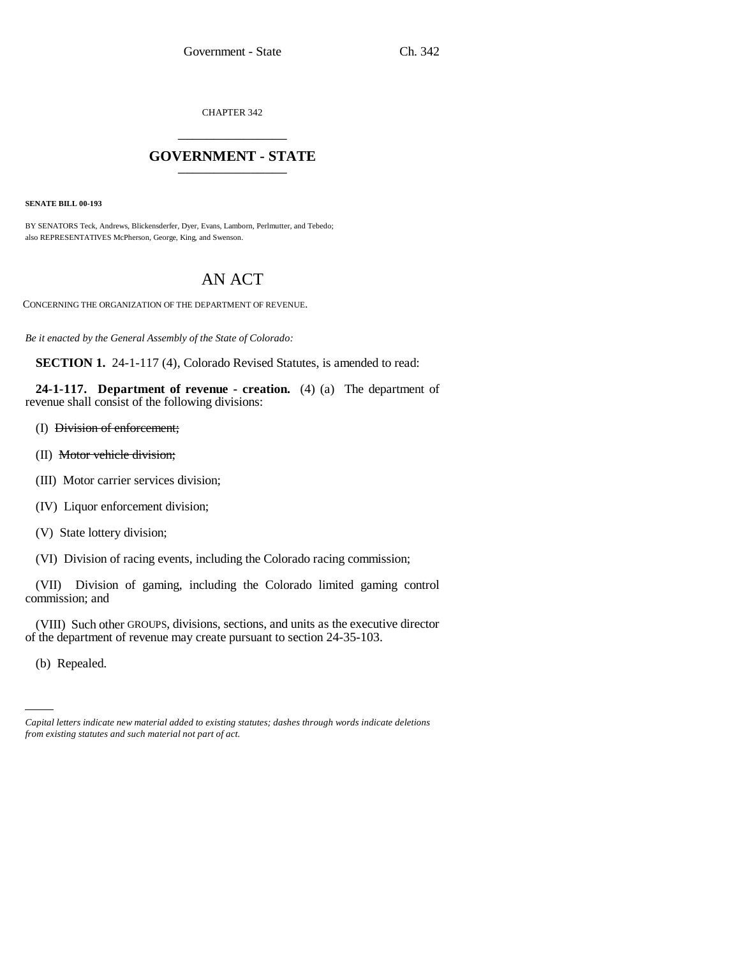CHAPTER 342 \_\_\_\_\_\_\_\_\_\_\_\_\_\_\_

# **GOVERNMENT - STATE** \_\_\_\_\_\_\_\_\_\_\_\_\_\_\_

**SENATE BILL 00-193** 

BY SENATORS Teck, Andrews, Blickensderfer, Dyer, Evans, Lamborn, Perlmutter, and Tebedo; also REPRESENTATIVES McPherson, George, King, and Swenson.

# AN ACT

CONCERNING THE ORGANIZATION OF THE DEPARTMENT OF REVENUE.

*Be it enacted by the General Assembly of the State of Colorado:*

**SECTION 1.** 24-1-117 (4), Colorado Revised Statutes, is amended to read:

**24-1-117. Department of revenue - creation.** (4) (a) The department of revenue shall consist of the following divisions:

- (I) Division of enforcement;
- (II) Motor vehicle division;
- (III) Motor carrier services division;
- (IV) Liquor enforcement division;
- (V) State lottery division;
- (VI) Division of racing events, including the Colorado racing commission;

(VII) Division of gaming, including the Colorado limited gaming control commission; and

(VIII) Such other GROUPS, divisions, sections, and units as the executive director of the department of revenue may create pursuant to section 24-35-103.

(b) Repealed.

*Capital letters indicate new material added to existing statutes; dashes through words indicate deletions from existing statutes and such material not part of act.*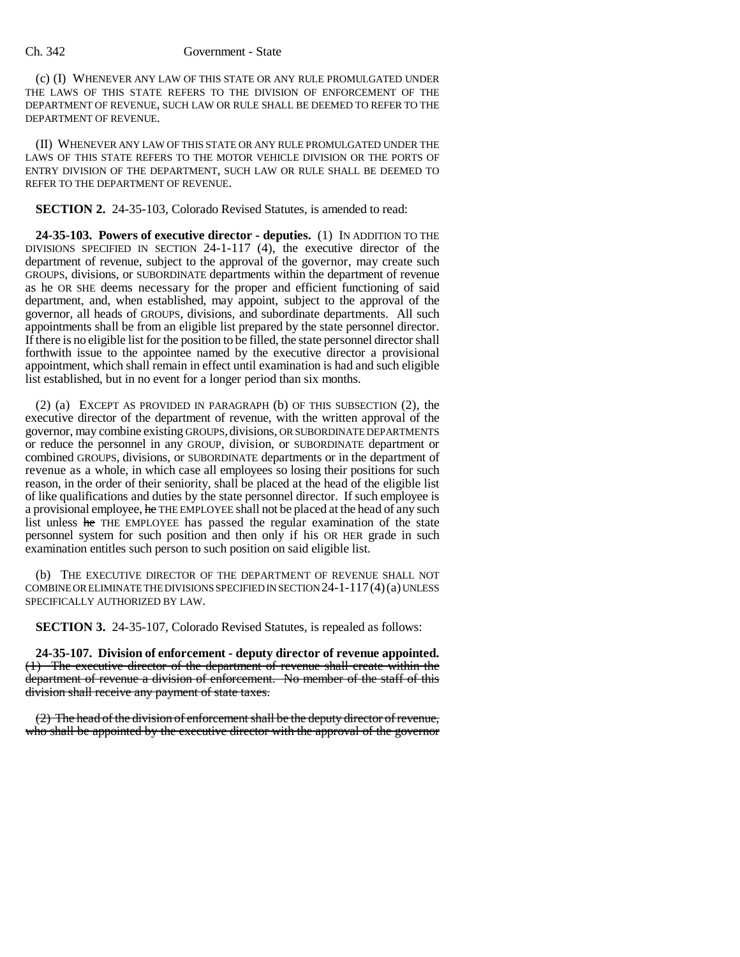(c) (I) WHENEVER ANY LAW OF THIS STATE OR ANY RULE PROMULGATED UNDER THE LAWS OF THIS STATE REFERS TO THE DIVISION OF ENFORCEMENT OF THE DEPARTMENT OF REVENUE, SUCH LAW OR RULE SHALL BE DEEMED TO REFER TO THE DEPARTMENT OF REVENUE.

(II) WHENEVER ANY LAW OF THIS STATE OR ANY RULE PROMULGATED UNDER THE LAWS OF THIS STATE REFERS TO THE MOTOR VEHICLE DIVISION OR THE PORTS OF ENTRY DIVISION OF THE DEPARTMENT, SUCH LAW OR RULE SHALL BE DEEMED TO REFER TO THE DEPARTMENT OF REVENUE.

**SECTION 2.** 24-35-103, Colorado Revised Statutes, is amended to read:

**24-35-103. Powers of executive director - deputies.** (1) IN ADDITION TO THE DIVISIONS SPECIFIED IN SECTION 24-1-117  $(4)$ , the executive director of the department of revenue, subject to the approval of the governor, may create such GROUPS, divisions, or SUBORDINATE departments within the department of revenue as he OR SHE deems necessary for the proper and efficient functioning of said department, and, when established, may appoint, subject to the approval of the governor, all heads of GROUPS, divisions, and subordinate departments. All such appointments shall be from an eligible list prepared by the state personnel director. If there is no eligible list for the position to be filled, the state personnel director shall forthwith issue to the appointee named by the executive director a provisional appointment, which shall remain in effect until examination is had and such eligible list established, but in no event for a longer period than six months.

(2) (a) EXCEPT AS PROVIDED IN PARAGRAPH (b) OF THIS SUBSECTION (2), the executive director of the department of revenue, with the written approval of the governor, may combine existing GROUPS,divisions, OR SUBORDINATE DEPARTMENTS or reduce the personnel in any GROUP, division, or SUBORDINATE department or combined GROUPS, divisions, or SUBORDINATE departments or in the department of revenue as a whole, in which case all employees so losing their positions for such reason, in the order of their seniority, shall be placed at the head of the eligible list of like qualifications and duties by the state personnel director. If such employee is a provisional employee, he THE EMPLOYEE shall not be placed at the head of any such list unless he THE EMPLOYEE has passed the regular examination of the state personnel system for such position and then only if his OR HER grade in such examination entitles such person to such position on said eligible list.

(b) THE EXECUTIVE DIRECTOR OF THE DEPARTMENT OF REVENUE SHALL NOT COMBINE OR ELIMINATE THE DIVISIONS SPECIFIED IN SECTION  $24$ -1-117(4)(a) UNLESS SPECIFICALLY AUTHORIZED BY LAW.

**SECTION 3.** 24-35-107, Colorado Revised Statutes, is repealed as follows:

**24-35-107. Division of enforcement - deputy director of revenue appointed.** (1) The executive director of the department of revenue shall create within the department of revenue a division of enforcement. No member of the staff of this division shall receive any payment of state taxes.

(2) The head of the division of enforcement shall be the deputy director of revenue, who shall be appointed by the executive director with the approval of the governor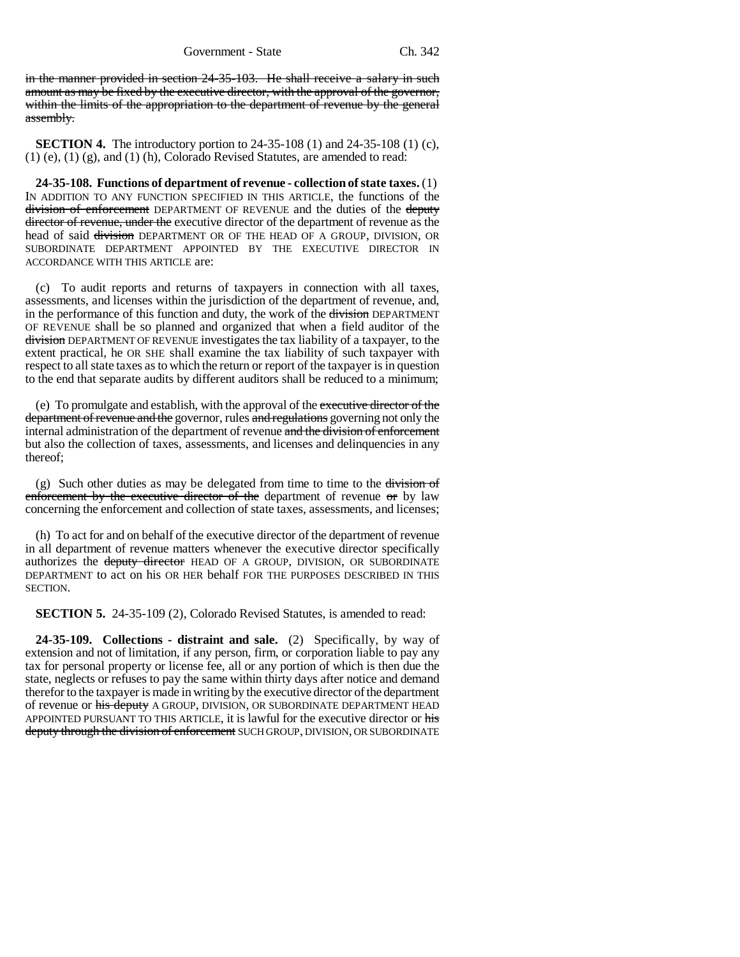in the manner provided in section 24-35-103. He shall receive a salary in such amount as may be fixed by the executive director, with the approval of the governor, within the limits of the appropriation to the department of revenue by the general assembly.

**SECTION 4.** The introductory portion to 24-35-108 (1) and 24-35-108 (1) (c), (1) (e), (1) (g), and (1) (h), Colorado Revised Statutes, are amended to read:

**24-35-108. Functions of department of revenue - collection of state taxes.** (1) IN ADDITION TO ANY FUNCTION SPECIFIED IN THIS ARTICLE, the functions of the division of enforcement DEPARTMENT OF REVENUE and the duties of the deputy director of revenue, under the executive director of the department of revenue as the head of said division DEPARTMENT OR OF THE HEAD OF A GROUP, DIVISION, OR SUBORDINATE DEPARTMENT APPOINTED BY THE EXECUTIVE DIRECTOR IN ACCORDANCE WITH THIS ARTICLE are:

(c) To audit reports and returns of taxpayers in connection with all taxes, assessments, and licenses within the jurisdiction of the department of revenue, and, in the performance of this function and duty, the work of the division DEPARTMENT OF REVENUE shall be so planned and organized that when a field auditor of the division DEPARTMENT OF REVENUE investigates the tax liability of a taxpayer, to the extent practical, he OR SHE shall examine the tax liability of such taxpayer with respect to all state taxes as to which the return or report of the taxpayer is in question to the end that separate audits by different auditors shall be reduced to a minimum;

(e) To promulgate and establish, with the approval of the executive director of the department of revenue and the governor, rules and regulations governing not only the internal administration of the department of revenue and the division of enforcement but also the collection of taxes, assessments, and licenses and delinquencies in any thereof;

(g) Such other duties as may be delegated from time to time to the  $\frac{division}{ }$ enforcement by the executive director of the department of revenue or by law concerning the enforcement and collection of state taxes, assessments, and licenses;

(h) To act for and on behalf of the executive director of the department of revenue in all department of revenue matters whenever the executive director specifically authorizes the deputy director HEAD OF A GROUP, DIVISION, OR SUBORDINATE DEPARTMENT to act on his OR HER behalf FOR THE PURPOSES DESCRIBED IN THIS SECTION.

**SECTION 5.** 24-35-109 (2), Colorado Revised Statutes, is amended to read:

**24-35-109. Collections - distraint and sale.** (2) Specifically, by way of extension and not of limitation, if any person, firm, or corporation liable to pay any tax for personal property or license fee, all or any portion of which is then due the state, neglects or refuses to pay the same within thirty days after notice and demand therefor to the taxpayer is made in writing by the executive director of the department of revenue or his deputy A GROUP, DIVISION, OR SUBORDINATE DEPARTMENT HEAD APPOINTED PURSUANT TO THIS ARTICLE, it is lawful for the executive director or his deputy through the division of enforcement SUCH GROUP, DIVISION, OR SUBORDINATE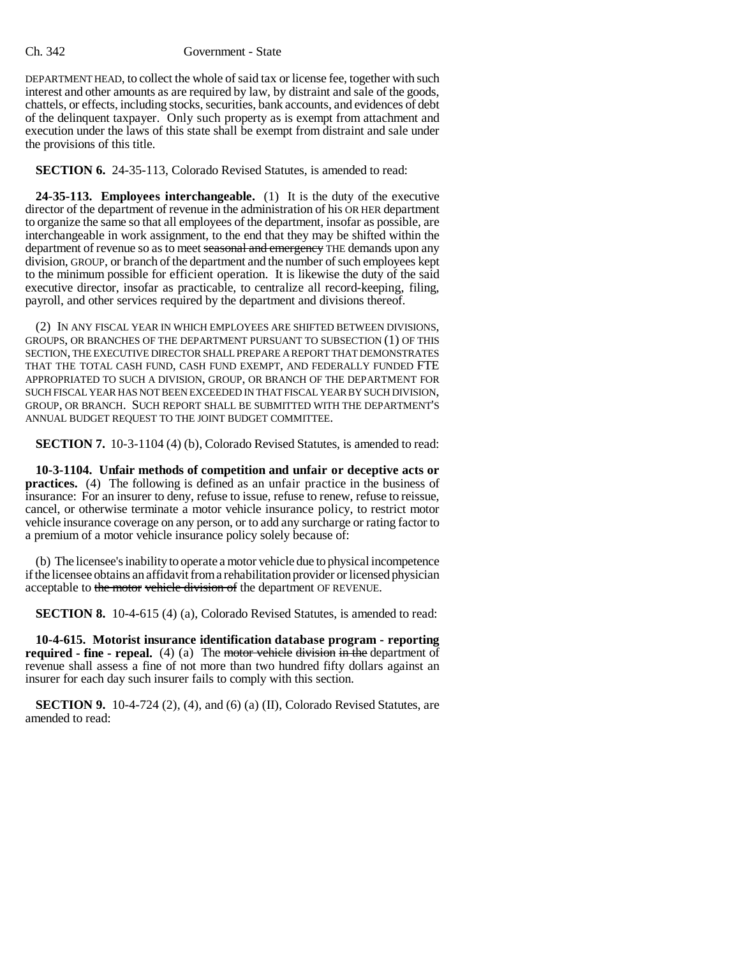DEPARTMENT HEAD, to collect the whole of said tax or license fee, together with such interest and other amounts as are required by law, by distraint and sale of the goods, chattels, or effects, including stocks, securities, bank accounts, and evidences of debt of the delinquent taxpayer. Only such property as is exempt from attachment and execution under the laws of this state shall be exempt from distraint and sale under the provisions of this title.

**SECTION 6.** 24-35-113, Colorado Revised Statutes, is amended to read:

**24-35-113. Employees interchangeable.** (1) It is the duty of the executive director of the department of revenue in the administration of his OR HER department to organize the same so that all employees of the department, insofar as possible, are interchangeable in work assignment, to the end that they may be shifted within the department of revenue so as to meet seasonal and emergency THE demands upon any division, GROUP, or branch of the department and the number of such employees kept to the minimum possible for efficient operation. It is likewise the duty of the said executive director, insofar as practicable, to centralize all record-keeping, filing, payroll, and other services required by the department and divisions thereof.

(2) IN ANY FISCAL YEAR IN WHICH EMPLOYEES ARE SHIFTED BETWEEN DIVISIONS, GROUPS, OR BRANCHES OF THE DEPARTMENT PURSUANT TO SUBSECTION (1) OF THIS SECTION, THE EXECUTIVE DIRECTOR SHALL PREPARE A REPORT THAT DEMONSTRATES THAT THE TOTAL CASH FUND, CASH FUND EXEMPT, AND FEDERALLY FUNDED FTE APPROPRIATED TO SUCH A DIVISION, GROUP, OR BRANCH OF THE DEPARTMENT FOR SUCH FISCAL YEAR HAS NOT BEEN EXCEEDED IN THAT FISCAL YEAR BY SUCH DIVISION, GROUP, OR BRANCH. SUCH REPORT SHALL BE SUBMITTED WITH THE DEPARTMENT'S ANNUAL BUDGET REQUEST TO THE JOINT BUDGET COMMITTEE.

**SECTION 7.** 10-3-1104 (4) (b), Colorado Revised Statutes, is amended to read:

**10-3-1104. Unfair methods of competition and unfair or deceptive acts or practices.** (4) The following is defined as an unfair practice in the business of insurance: For an insurer to deny, refuse to issue, refuse to renew, refuse to reissue, cancel, or otherwise terminate a motor vehicle insurance policy, to restrict motor vehicle insurance coverage on any person, or to add any surcharge or rating factor to a premium of a motor vehicle insurance policy solely because of:

(b) The licensee's inability to operate a motor vehicle due to physical incompetence if the licensee obtains an affidavit from a rehabilitation provider or licensed physician acceptable to the motor vehicle division of the department OF REVENUE.

**SECTION 8.** 10-4-615 (4) (a), Colorado Revised Statutes, is amended to read:

**10-4-615. Motorist insurance identification database program - reporting required - fine - repeal.** (4) (a) The motor vehicle division in the department of revenue shall assess a fine of not more than two hundred fifty dollars against an insurer for each day such insurer fails to comply with this section.

**SECTION 9.** 10-4-724 (2), (4), and (6) (a) (II), Colorado Revised Statutes, are amended to read: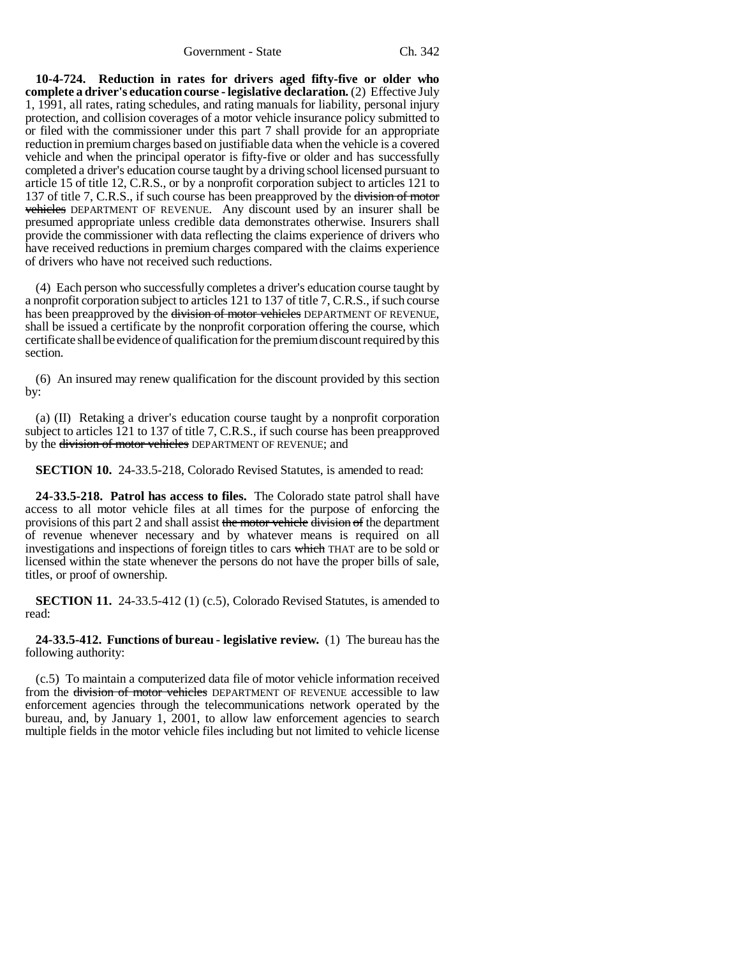Government - State Ch. 342

**10-4-724. Reduction in rates for drivers aged fifty-five or older who complete a driver's education course - legislative declaration.** (2) Effective July 1, 1991, all rates, rating schedules, and rating manuals for liability, personal injury protection, and collision coverages of a motor vehicle insurance policy submitted to or filed with the commissioner under this part 7 shall provide for an appropriate reduction in premium charges based on justifiable data when the vehicle is a covered vehicle and when the principal operator is fifty-five or older and has successfully completed a driver's education course taught by a driving school licensed pursuant to article 15 of title 12, C.R.S., or by a nonprofit corporation subject to articles 121 to 137 of title 7, C.R.S., if such course has been preapproved by the division of motor vehicles DEPARTMENT OF REVENUE. Any discount used by an insurer shall be presumed appropriate unless credible data demonstrates otherwise. Insurers shall provide the commissioner with data reflecting the claims experience of drivers who have received reductions in premium charges compared with the claims experience of drivers who have not received such reductions.

(4) Each person who successfully completes a driver's education course taught by a nonprofit corporation subject to articles 121 to 137 of title 7, C.R.S., if such course has been preapproved by the division of motor vehicles DEPARTMENT OF REVENUE, shall be issued a certificate by the nonprofit corporation offering the course, which certificate shall be evidence of qualification for the premium discount required by this section.

(6) An insured may renew qualification for the discount provided by this section by:

(a) (II) Retaking a driver's education course taught by a nonprofit corporation subject to articles 121 to 137 of title 7, C.R.S., if such course has been preapproved by the division of motor vehicles DEPARTMENT OF REVENUE; and

**SECTION 10.** 24-33.5-218, Colorado Revised Statutes, is amended to read:

**24-33.5-218. Patrol has access to files.** The Colorado state patrol shall have access to all motor vehicle files at all times for the purpose of enforcing the provisions of this part 2 and shall assist the motor vehicle division of the department of revenue whenever necessary and by whatever means is required on all investigations and inspections of foreign titles to cars which THAT are to be sold or licensed within the state whenever the persons do not have the proper bills of sale, titles, or proof of ownership.

**SECTION 11.** 24-33.5-412 (1) (c.5), Colorado Revised Statutes, is amended to read:

#### **24-33.5-412. Functions of bureau - legislative review.** (1) The bureau has the following authority:

(c.5) To maintain a computerized data file of motor vehicle information received from the <del>division of motor vehicles</del> DEPARTMENT OF REVENUE accessible to law enforcement agencies through the telecommunications network operated by the bureau, and, by January 1, 2001, to allow law enforcement agencies to search multiple fields in the motor vehicle files including but not limited to vehicle license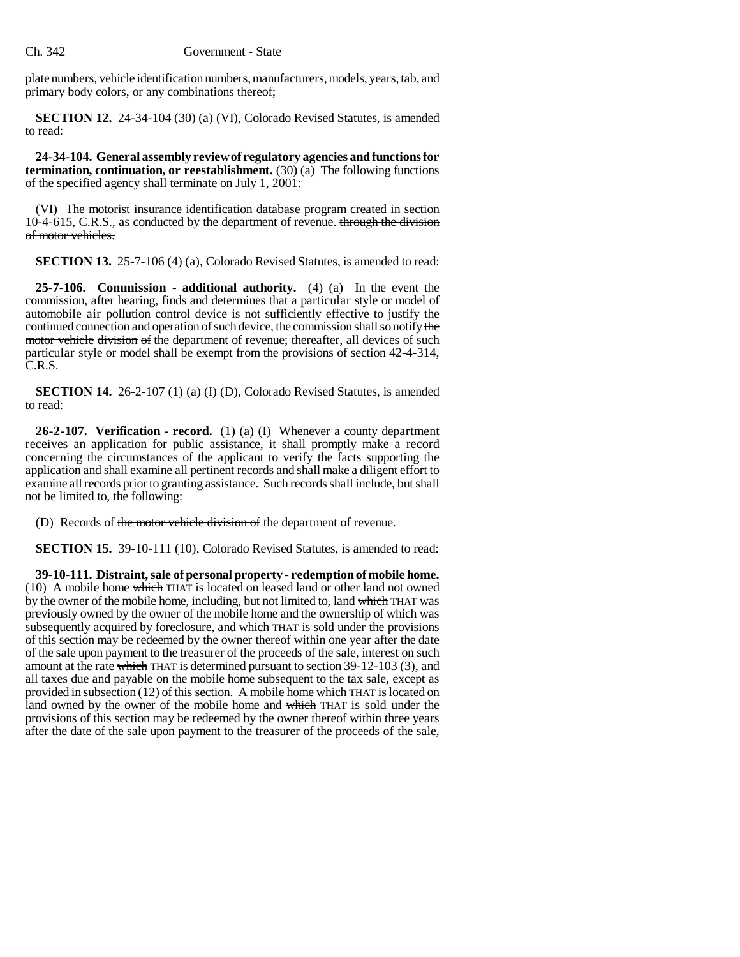plate numbers, vehicle identification numbers, manufacturers, models, years, tab, and primary body colors, or any combinations thereof;

**SECTION 12.** 24-34-104 (30) (a) (VI), Colorado Revised Statutes, is amended to read:

**24-34-104. General assembly review of regulatory agencies and functions for termination, continuation, or reestablishment.** (30) (a) The following functions of the specified agency shall terminate on July 1, 2001:

(VI) The motorist insurance identification database program created in section 10-4-615, C.R.S., as conducted by the department of revenue. through the division of motor vehicles.

**SECTION 13.** 25-7-106 (4) (a), Colorado Revised Statutes, is amended to read:

**25-7-106. Commission - additional authority.** (4) (a) In the event the commission, after hearing, finds and determines that a particular style or model of automobile air pollution control device is not sufficiently effective to justify the continued connection and operation of such device, the commission shall so notify the motor vehicle division of the department of revenue; thereafter, all devices of such particular style or model shall be exempt from the provisions of section 42-4-314, C.R.S.

**SECTION 14.** 26-2-107 (1) (a) (I) (D), Colorado Revised Statutes, is amended to read:

**26-2-107. Verification - record.** (1) (a) (I) Whenever a county department receives an application for public assistance, it shall promptly make a record concerning the circumstances of the applicant to verify the facts supporting the application and shall examine all pertinent records and shall make a diligent effort to examine all records prior to granting assistance. Such records shall include, but shall not be limited to, the following:

(D) Records of the motor vehicle division of the department of revenue.

**SECTION 15.** 39-10-111 (10), Colorado Revised Statutes, is amended to read:

**39-10-111. Distraint, sale of personal property - redemption of mobile home.** (10) A mobile home which THAT is located on leased land or other land not owned by the owner of the mobile home, including, but not limited to, land which THAT was previously owned by the owner of the mobile home and the ownership of which was subsequently acquired by foreclosure, and which THAT is sold under the provisions of this section may be redeemed by the owner thereof within one year after the date of the sale upon payment to the treasurer of the proceeds of the sale, interest on such amount at the rate which THAT is determined pursuant to section  $39-12-103$  (3), and all taxes due and payable on the mobile home subsequent to the tax sale, except as provided in subsection  $(12)$  of this section. A mobile home which THAT is located on land owned by the owner of the mobile home and which THAT is sold under the provisions of this section may be redeemed by the owner thereof within three years after the date of the sale upon payment to the treasurer of the proceeds of the sale,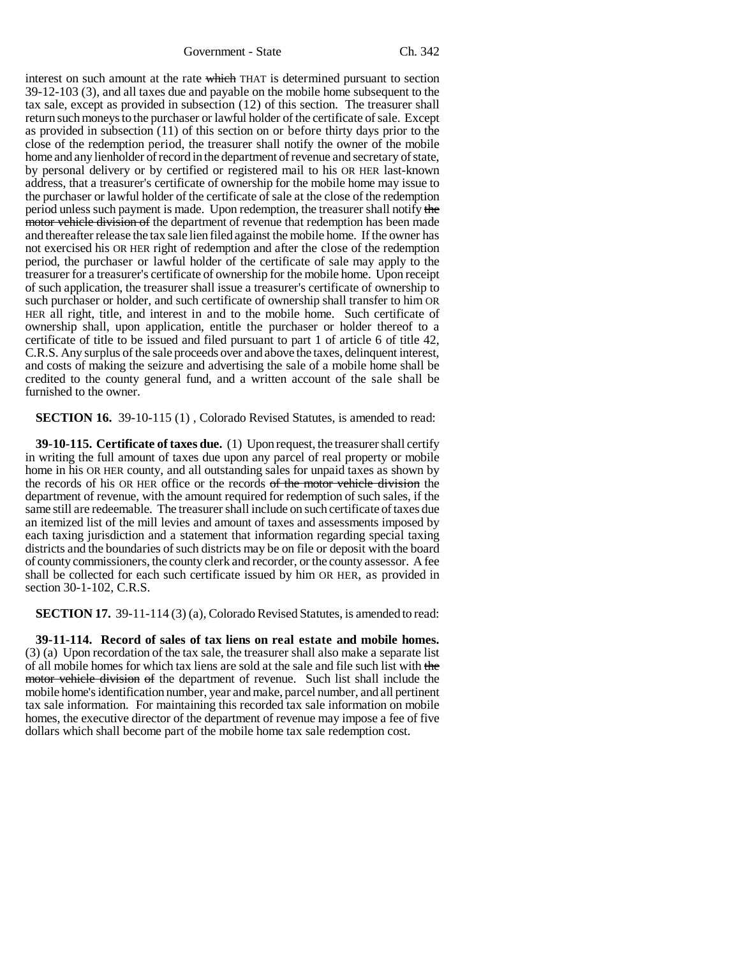Government - State Ch. 342

interest on such amount at the rate which THAT is determined pursuant to section 39-12-103 (3), and all taxes due and payable on the mobile home subsequent to the tax sale, except as provided in subsection (12) of this section. The treasurer shall return such moneys to the purchaser or lawful holder of the certificate of sale. Except as provided in subsection (11) of this section on or before thirty days prior to the close of the redemption period, the treasurer shall notify the owner of the mobile home and any lienholder of record in the department of revenue and secretary of state, by personal delivery or by certified or registered mail to his OR HER last-known address, that a treasurer's certificate of ownership for the mobile home may issue to the purchaser or lawful holder of the certificate of sale at the close of the redemption period unless such payment is made. Upon redemption, the treasurer shall notify the motor vehicle division of the department of revenue that redemption has been made and thereafter release the tax sale lien filed against the mobile home. If the owner has not exercised his OR HER right of redemption and after the close of the redemption period, the purchaser or lawful holder of the certificate of sale may apply to the treasurer for a treasurer's certificate of ownership for the mobile home. Upon receipt of such application, the treasurer shall issue a treasurer's certificate of ownership to such purchaser or holder, and such certificate of ownership shall transfer to him OR HER all right, title, and interest in and to the mobile home. Such certificate of ownership shall, upon application, entitle the purchaser or holder thereof to a certificate of title to be issued and filed pursuant to part 1 of article 6 of title 42, C.R.S. Any surplus of the sale proceeds over and above the taxes, delinquent interest, and costs of making the seizure and advertising the sale of a mobile home shall be credited to the county general fund, and a written account of the sale shall be furnished to the owner.

**SECTION 16.** 39-10-115 (1), Colorado Revised Statutes, is amended to read:

**39-10-115. Certificate of taxes due.** (1) Upon request, the treasurer shall certify in writing the full amount of taxes due upon any parcel of real property or mobile home in his OR HER county, and all outstanding sales for unpaid taxes as shown by the records of his OR HER office or the records of the motor vehicle division the department of revenue, with the amount required for redemption of such sales, if the same still are redeemable. The treasurer shall include on such certificate of taxes due an itemized list of the mill levies and amount of taxes and assessments imposed by each taxing jurisdiction and a statement that information regarding special taxing districts and the boundaries of such districts may be on file or deposit with the board of county commissioners, the county clerk and recorder, or the county assessor. A fee shall be collected for each such certificate issued by him OR HER, as provided in section 30-1-102, C.R.S.

**SECTION 17.** 39-11-114 (3) (a), Colorado Revised Statutes, is amended to read:

**39-11-114. Record of sales of tax liens on real estate and mobile homes.** (3) (a) Upon recordation of the tax sale, the treasurer shall also make a separate list of all mobile homes for which tax liens are sold at the sale and file such list with the motor vehicle division of the department of revenue. Such list shall include the mobile home's identification number, year and make, parcel number, and all pertinent tax sale information. For maintaining this recorded tax sale information on mobile homes, the executive director of the department of revenue may impose a fee of five dollars which shall become part of the mobile home tax sale redemption cost.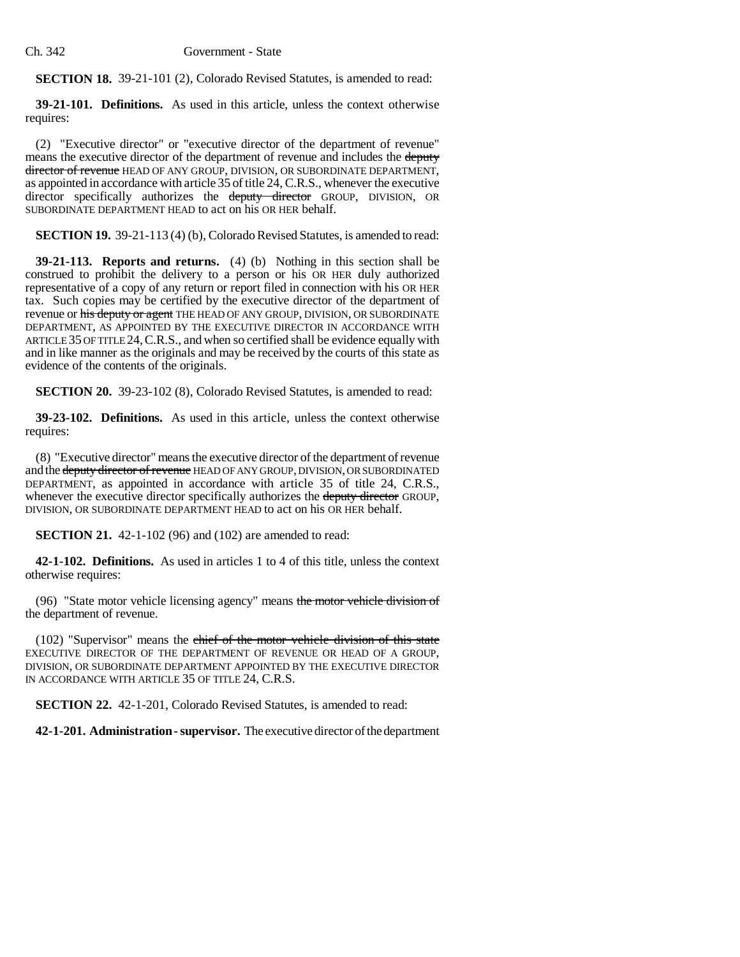**SECTION 18.** 39-21-101 (2), Colorado Revised Statutes, is amended to read:

**39-21-101. Definitions.** As used in this article, unless the context otherwise requires:

(2) "Executive director" or "executive director of the department of revenue" means the executive director of the department of revenue and includes the deputy director of revenue HEAD OF ANY GROUP, DIVISION, OR SUBORDINATE DEPARTMENT, as appointed in accordance with article 35 of title 24, C.R.S., whenever the executive director specifically authorizes the deputy director GROUP, DIVISION, OR SUBORDINATE DEPARTMENT HEAD to act on his OR HER behalf.

**SECTION 19.** 39-21-113 (4) (b), Colorado Revised Statutes, is amended to read:

**39-21-113. Reports and returns.** (4) (b) Nothing in this section shall be construed to prohibit the delivery to a person or his OR HER duly authorized representative of a copy of any return or report filed in connection with his OR HER tax. Such copies may be certified by the executive director of the department of revenue or his deputy or agent THE HEAD OF ANY GROUP, DIVISION, OR SUBORDINATE DEPARTMENT, AS APPOINTED BY THE EXECUTIVE DIRECTOR IN ACCORDANCE WITH ARTICLE 35 OF TITLE 24, C.R.S., and when so certified shall be evidence equally with and in like manner as the originals and may be received by the courts of this state as evidence of the contents of the originals.

**SECTION 20.** 39-23-102 (8), Colorado Revised Statutes, is amended to read:

**39-23-102. Definitions.** As used in this article, unless the context otherwise requires:

(8) "Executive director" means the executive director of the department of revenue and the deputy director of revenue HEAD OF ANY GROUP, DIVISION, OR SUBORDINATED DEPARTMENT, as appointed in accordance with article 35 of title 24, C.R.S., whenever the executive director specifically authorizes the deputy director GROUP, DIVISION, OR SUBORDINATE DEPARTMENT HEAD to act on his OR HER behalf.

**SECTION 21.** 42-1-102 (96) and (102) are amended to read:

**42-1-102. Definitions.** As used in articles 1 to 4 of this title, unless the context otherwise requires:

(96) "State motor vehicle licensing agency" means the motor vehicle division of the department of revenue.

(102) "Supervisor" means the chief of the motor vehicle division of this state EXECUTIVE DIRECTOR OF THE DEPARTMENT OF REVENUE OR HEAD OF A GROUP, DIVISION, OR SUBORDINATE DEPARTMENT APPOINTED BY THE EXECUTIVE DIRECTOR IN ACCORDANCE WITH ARTICLE 35 OF TITLE 24, C.R.S.

**SECTION 22.** 42-1-201, Colorado Revised Statutes, is amended to read:

**42-1-201. Administration - supervisor.** The executive director of the department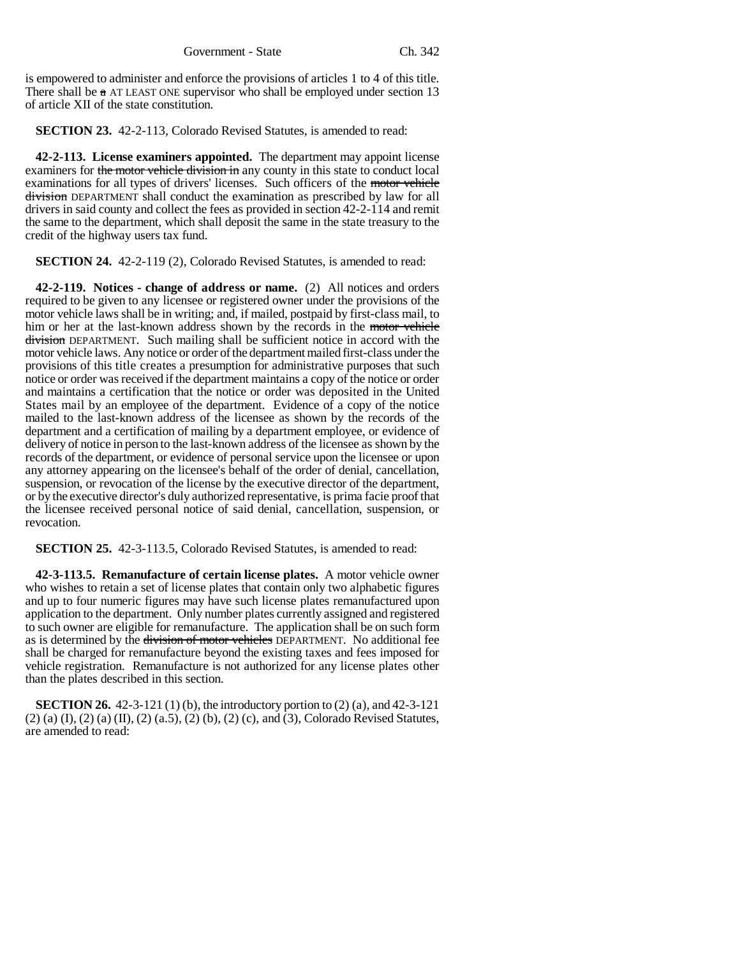is empowered to administer and enforce the provisions of articles 1 to 4 of this title. There shall be  $\alpha$  AT LEAST ONE supervisor who shall be employed under section 13 of article XII of the state constitution.

**SECTION 23.** 42-2-113, Colorado Revised Statutes, is amended to read:

**42-2-113. License examiners appointed.** The department may appoint license examiners for the motor vehicle division in any county in this state to conduct local examinations for all types of drivers' licenses. Such officers of the motor vehicle division DEPARTMENT shall conduct the examination as prescribed by law for all drivers in said county and collect the fees as provided in section 42-2-114 and remit the same to the department, which shall deposit the same in the state treasury to the credit of the highway users tax fund.

**SECTION 24.** 42-2-119 (2), Colorado Revised Statutes, is amended to read:

**42-2-119. Notices - change of address or name.** (2) All notices and orders required to be given to any licensee or registered owner under the provisions of the motor vehicle laws shall be in writing; and, if mailed, postpaid by first-class mail, to him or her at the last-known address shown by the records in the motor vehicle division DEPARTMENT. Such mailing shall be sufficient notice in accord with the motor vehicle laws. Any notice or order of the department mailed first-class under the provisions of this title creates a presumption for administrative purposes that such notice or order was received if the department maintains a copy of the notice or order and maintains a certification that the notice or order was deposited in the United States mail by an employee of the department. Evidence of a copy of the notice mailed to the last-known address of the licensee as shown by the records of the department and a certification of mailing by a department employee, or evidence of delivery of notice in person to the last-known address of the licensee as shown by the records of the department, or evidence of personal service upon the licensee or upon any attorney appearing on the licensee's behalf of the order of denial, cancellation, suspension, or revocation of the license by the executive director of the department, or by the executive director's duly authorized representative, is prima facie proof that the licensee received personal notice of said denial, cancellation, suspension, or revocation.

**SECTION 25.** 42-3-113.5, Colorado Revised Statutes, is amended to read:

**42-3-113.5. Remanufacture of certain license plates.** A motor vehicle owner who wishes to retain a set of license plates that contain only two alphabetic figures and up to four numeric figures may have such license plates remanufactured upon application to the department. Only number plates currently assigned and registered to such owner are eligible for remanufacture. The application shall be on such form as is determined by the division of motor vehicles DEPARTMENT. No additional fee shall be charged for remanufacture beyond the existing taxes and fees imposed for vehicle registration. Remanufacture is not authorized for any license plates other than the plates described in this section.

**SECTION 26.** 42-3-121 (1) (b), the introductory portion to (2) (a), and 42-3-121  $(2)$  (a)  $(I)$ ,  $(2)$  (a)  $(II)$ ,  $(2)$  (a.5),  $(2)$  (b),  $(2)$  (c), and  $(3)$ , Colorado Revised Statutes, are amended to read: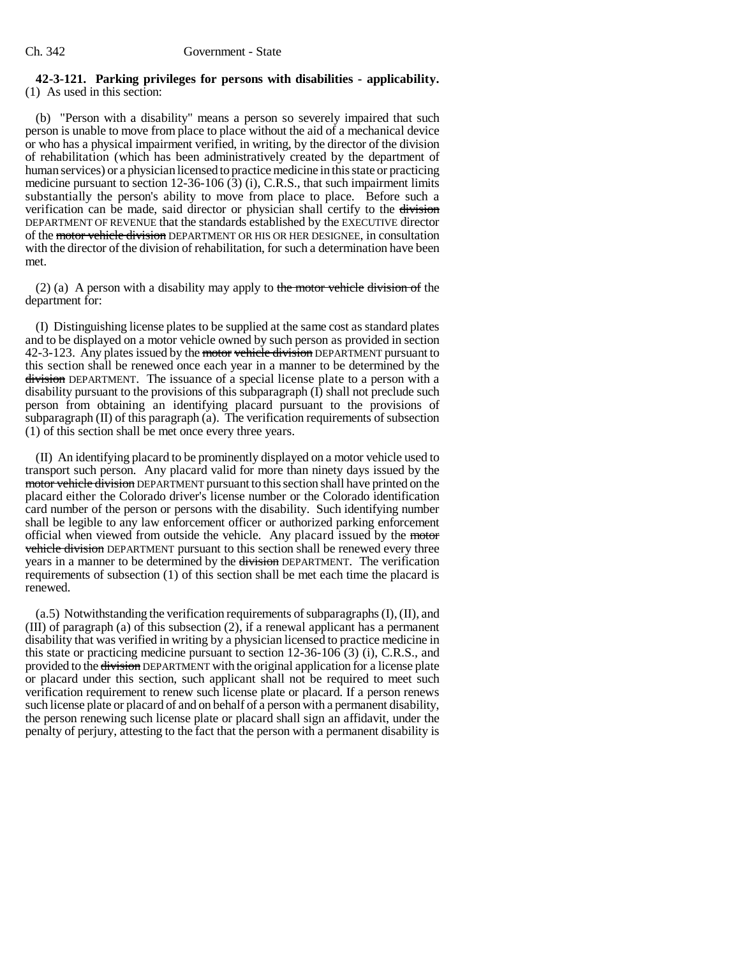#### **42-3-121. Parking privileges for persons with disabilities - applicability.** (1) As used in this section:

(b) "Person with a disability" means a person so severely impaired that such person is unable to move from place to place without the aid of a mechanical device or who has a physical impairment verified, in writing, by the director of the division of rehabilitation (which has been administratively created by the department of human services) or a physician licensed to practice medicine in this state or practicing medicine pursuant to section 12-36-106 (3) (i), C.R.S., that such impairment limits substantially the person's ability to move from place to place. Before such a verification can be made, said director or physician shall certify to the division DEPARTMENT OF REVENUE that the standards established by the EXECUTIVE director of the motor vehicle division DEPARTMENT OR HIS OR HER DESIGNEE, in consultation with the director of the division of rehabilitation, for such a determination have been met.

(2) (a) A person with a disability may apply to the motor vehicle division of the department for:

(I) Distinguishing license plates to be supplied at the same cost as standard plates and to be displayed on a motor vehicle owned by such person as provided in section 42-3-123. Any plates issued by the motor vehicle division DEPARTMENT pursuant to this section shall be renewed once each year in a manner to be determined by the division DEPARTMENT. The issuance of a special license plate to a person with a disability pursuant to the provisions of this subparagraph (I) shall not preclude such person from obtaining an identifying placard pursuant to the provisions of  $subparagnb (II)$  of this paragraph  $(a)$ . The verification requirements of subsection (1) of this section shall be met once every three years.

(II) An identifying placard to be prominently displayed on a motor vehicle used to transport such person. Any placard valid for more than ninety days issued by the motor vehicle division DEPARTMENT pursuant to this section shall have printed on the placard either the Colorado driver's license number or the Colorado identification card number of the person or persons with the disability. Such identifying number shall be legible to any law enforcement officer or authorized parking enforcement official when viewed from outside the vehicle. Any placard issued by the motor vehicle division DEPARTMENT pursuant to this section shall be renewed every three years in a manner to be determined by the division DEPARTMENT. The verification requirements of subsection (1) of this section shall be met each time the placard is renewed.

(a.5) Notwithstanding the verification requirements of subparagraphs (I), (II), and (III) of paragraph (a) of this subsection (2), if a renewal applicant has a permanent disability that was verified in writing by a physician licensed to practice medicine in this state or practicing medicine pursuant to section 12-36-106 (3) (i), C.R.S., and provided to the division DEPARTMENT with the original application for a license plate or placard under this section, such applicant shall not be required to meet such verification requirement to renew such license plate or placard. If a person renews such license plate or placard of and on behalf of a person with a permanent disability, the person renewing such license plate or placard shall sign an affidavit, under the penalty of perjury, attesting to the fact that the person with a permanent disability is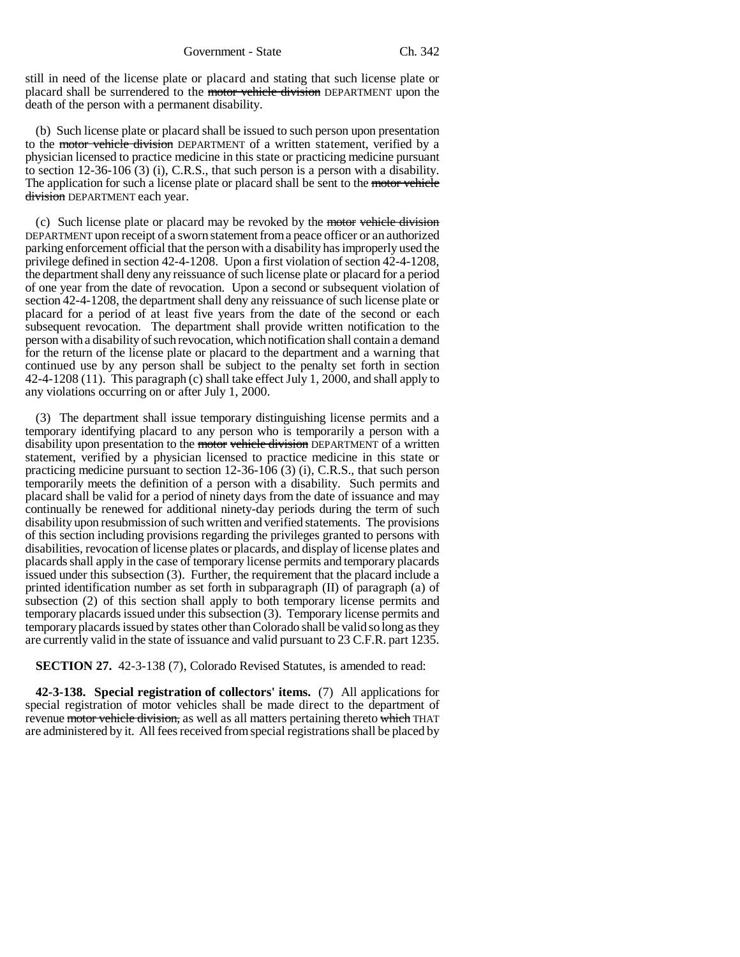still in need of the license plate or placard and stating that such license plate or placard shall be surrendered to the motor vehicle division DEPARTMENT upon the death of the person with a permanent disability.

(b) Such license plate or placard shall be issued to such person upon presentation to the motor vehicle division DEPARTMENT of a written statement, verified by a physician licensed to practice medicine in this state or practicing medicine pursuant to section 12-36-106 (3) (i), C.R.S., that such person is a person with a disability. The application for such a license plate or placard shall be sent to the motor vehicle division DEPARTMENT each year.

(c) Such license plate or placard may be revoked by the motor vehicle division DEPARTMENT upon receipt of a sworn statement from a peace officer or an authorized parking enforcement official that the person with a disability has improperly used the privilege defined in section 42-4-1208. Upon a first violation of section 42-4-1208, the department shall deny any reissuance of such license plate or placard for a period of one year from the date of revocation. Upon a second or subsequent violation of section 42-4-1208, the department shall deny any reissuance of such license plate or placard for a period of at least five years from the date of the second or each subsequent revocation. The department shall provide written notification to the person with a disability of such revocation, which notification shall contain a demand for the return of the license plate or placard to the department and a warning that continued use by any person shall be subject to the penalty set forth in section 42-4-1208 (11). This paragraph (c) shall take effect July 1, 2000, and shall apply to any violations occurring on or after July 1, 2000.

(3) The department shall issue temporary distinguishing license permits and a temporary identifying placard to any person who is temporarily a person with a disability upon presentation to the motor vehicle division DEPARTMENT of a written statement, verified by a physician licensed to practice medicine in this state or practicing medicine pursuant to section 12-36-106 (3) (i), C.R.S., that such person temporarily meets the definition of a person with a disability. Such permits and placard shall be valid for a period of ninety days from the date of issuance and may continually be renewed for additional ninety-day periods during the term of such disability upon resubmission of such written and verified statements. The provisions of this section including provisions regarding the privileges granted to persons with disabilities, revocation of license plates or placards, and display of license plates and placards shall apply in the case of temporary license permits and temporary placards issued under this subsection (3). Further, the requirement that the placard include a printed identification number as set forth in subparagraph (II) of paragraph (a) of subsection (2) of this section shall apply to both temporary license permits and temporary placards issued under this subsection (3). Temporary license permits and temporary placards issued by states other than Colorado shall be valid so long as they are currently valid in the state of issuance and valid pursuant to 23 C.F.R. part 1235.

**SECTION 27.** 42-3-138 (7), Colorado Revised Statutes, is amended to read:

**42-3-138. Special registration of collectors' items.** (7) All applications for special registration of motor vehicles shall be made direct to the department of revenue motor vehicle division, as well as all matters pertaining thereto which THAT are administered by it. All fees received from special registrations shall be placed by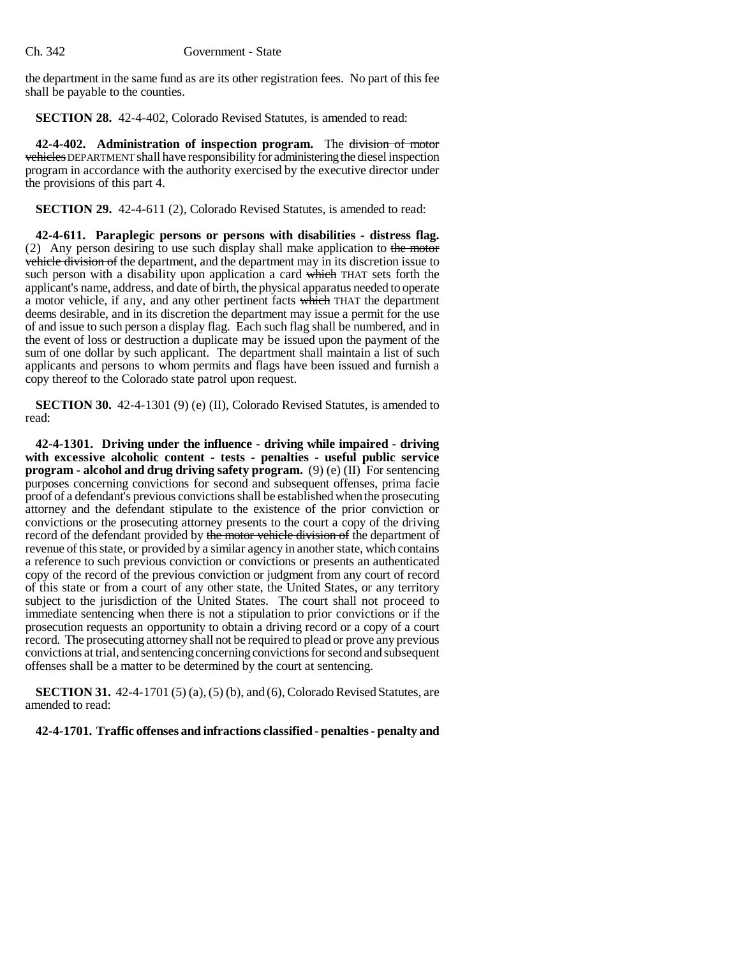the department in the same fund as are its other registration fees. No part of this fee shall be payable to the counties.

**SECTION 28.** 42-4-402, Colorado Revised Statutes, is amended to read:

**42-4-402. Administration of inspection program.** The division of motor vehicles DEPARTMENT shall have responsibility for administering the diesel inspection program in accordance with the authority exercised by the executive director under the provisions of this part 4.

**SECTION 29.** 42-4-611 (2), Colorado Revised Statutes, is amended to read:

**42-4-611. Paraplegic persons or persons with disabilities - distress flag.** (2) Any person desiring to use such display shall make application to the motor vehicle division of the department, and the department may in its discretion issue to such person with a disability upon application a card which THAT sets forth the applicant's name, address, and date of birth, the physical apparatus needed to operate a motor vehicle, if any, and any other pertinent facts which THAT the department deems desirable, and in its discretion the department may issue a permit for the use of and issue to such person a display flag. Each such flag shall be numbered, and in the event of loss or destruction a duplicate may be issued upon the payment of the sum of one dollar by such applicant. The department shall maintain a list of such applicants and persons to whom permits and flags have been issued and furnish a copy thereof to the Colorado state patrol upon request.

**SECTION 30.** 42-4-1301 (9) (e) (II), Colorado Revised Statutes, is amended to read:

**42-4-1301. Driving under the influence - driving while impaired - driving with excessive alcoholic content - tests - penalties - useful public service program - alcohol and drug driving safety program.** (9) (e) (II) For sentencing purposes concerning convictions for second and subsequent offenses, prima facie proof of a defendant's previous convictions shall be established when the prosecuting attorney and the defendant stipulate to the existence of the prior conviction or convictions or the prosecuting attorney presents to the court a copy of the driving record of the defendant provided by the motor vehicle division of the department of revenue of this state, or provided by a similar agency in another state, which contains a reference to such previous conviction or convictions or presents an authenticated copy of the record of the previous conviction or judgment from any court of record of this state or from a court of any other state, the United States, or any territory subject to the jurisdiction of the United States. The court shall not proceed to immediate sentencing when there is not a stipulation to prior convictions or if the prosecution requests an opportunity to obtain a driving record or a copy of a court record. The prosecuting attorney shall not be required to plead or prove any previous convictions at trial, and sentencing concerning convictions for second and subsequent offenses shall be a matter to be determined by the court at sentencing.

**SECTION 31.** 42-4-1701 (5) (a), (5) (b), and (6), Colorado Revised Statutes, are amended to read:

**42-4-1701. Traffic offenses and infractions classified - penalties - penalty and**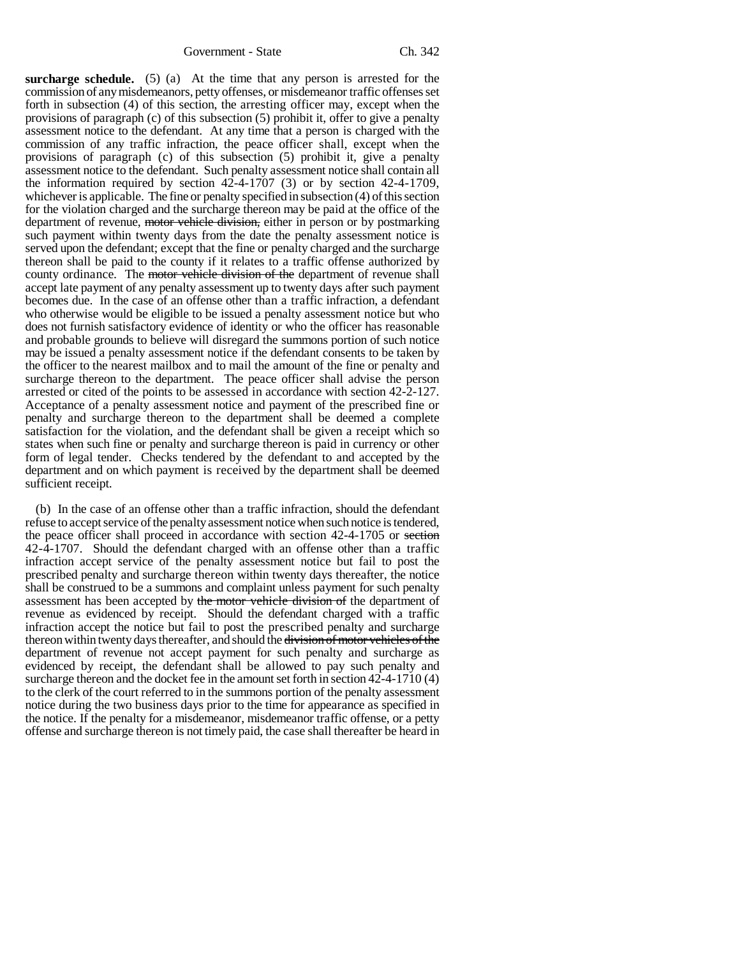**surcharge schedule.** (5) (a) At the time that any person is arrested for the commission of any misdemeanors, petty offenses, or misdemeanor traffic offenses set forth in subsection (4) of this section, the arresting officer may, except when the provisions of paragraph (c) of this subsection (5) prohibit it, offer to give a penalty assessment notice to the defendant. At any time that a person is charged with the commission of any traffic infraction, the peace officer shall, except when the provisions of paragraph (c) of this subsection (5) prohibit it, give a penalty assessment notice to the defendant. Such penalty assessment notice shall contain all the information required by section  $42-4-1707$  (3) or by section  $42-4-1709$ , whichever is applicable. The fine or penalty specified in subsection (4) of this section for the violation charged and the surcharge thereon may be paid at the office of the department of revenue, motor vehicle division, either in person or by postmarking such payment within twenty days from the date the penalty assessment notice is served upon the defendant; except that the fine or penalty charged and the surcharge thereon shall be paid to the county if it relates to a traffic offense authorized by county ordinance. The motor vehicle division of the department of revenue shall accept late payment of any penalty assessment up to twenty days after such payment becomes due. In the case of an offense other than a traffic infraction, a defendant who otherwise would be eligible to be issued a penalty assessment notice but who does not furnish satisfactory evidence of identity or who the officer has reasonable and probable grounds to believe will disregard the summons portion of such notice may be issued a penalty assessment notice if the defendant consents to be taken by the officer to the nearest mailbox and to mail the amount of the fine or penalty and surcharge thereon to the department. The peace officer shall advise the person arrested or cited of the points to be assessed in accordance with section 42-2-127. Acceptance of a penalty assessment notice and payment of the prescribed fine or penalty and surcharge thereon to the department shall be deemed a complete satisfaction for the violation, and the defendant shall be given a receipt which so states when such fine or penalty and surcharge thereon is paid in currency or other form of legal tender. Checks tendered by the defendant to and accepted by the department and on which payment is received by the department shall be deemed sufficient receipt.

(b) In the case of an offense other than a traffic infraction, should the defendant refuse to accept service of the penalty assessment notice when such notice is tendered, the peace officer shall proceed in accordance with section 42-4-1705 or section 42-4-1707. Should the defendant charged with an offense other than a traffic infraction accept service of the penalty assessment notice but fail to post the prescribed penalty and surcharge thereon within twenty days thereafter, the notice shall be construed to be a summons and complaint unless payment for such penalty assessment has been accepted by the motor vehicle division of the department of revenue as evidenced by receipt. Should the defendant charged with a traffic infraction accept the notice but fail to post the prescribed penalty and surcharge thereon within twenty days thereafter, and should the division of motor vehicles of the department of revenue not accept payment for such penalty and surcharge as evidenced by receipt, the defendant shall be allowed to pay such penalty and surcharge thereon and the docket fee in the amount set forth in section 42-4-1710 (4) to the clerk of the court referred to in the summons portion of the penalty assessment notice during the two business days prior to the time for appearance as specified in the notice. If the penalty for a misdemeanor, misdemeanor traffic offense, or a petty offense and surcharge thereon is not timely paid, the case shall thereafter be heard in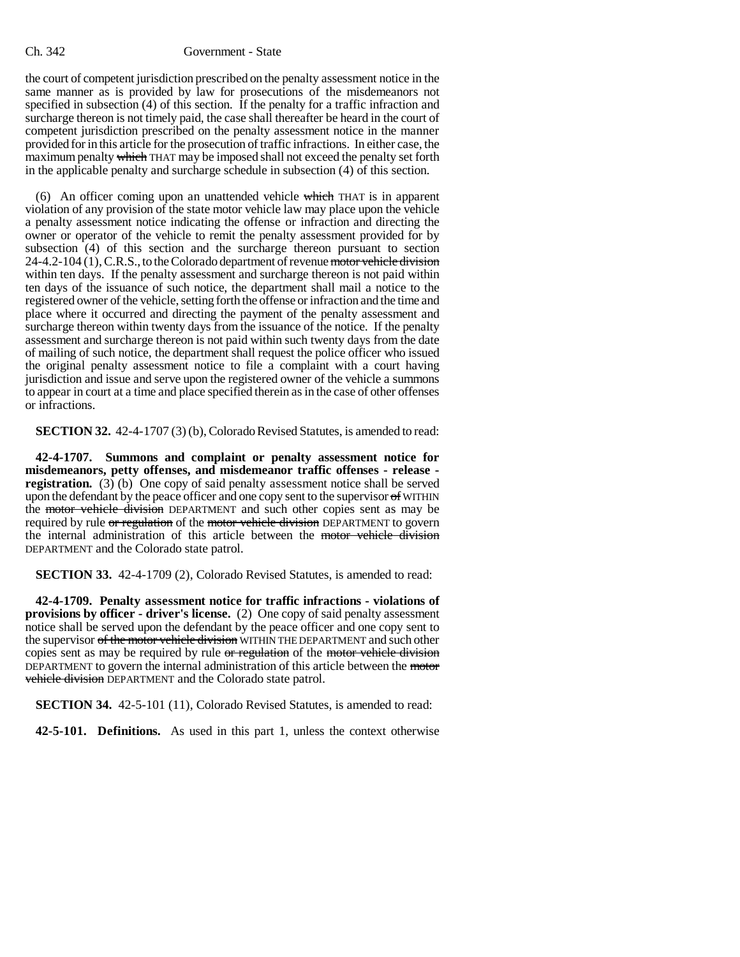the court of competent jurisdiction prescribed on the penalty assessment notice in the same manner as is provided by law for prosecutions of the misdemeanors not specified in subsection (4) of this section. If the penalty for a traffic infraction and surcharge thereon is not timely paid, the case shall thereafter be heard in the court of competent jurisdiction prescribed on the penalty assessment notice in the manner provided for in this article for the prosecution of traffic infractions. In either case, the maximum penalty which THAT may be imposed shall not exceed the penalty set forth in the applicable penalty and surcharge schedule in subsection (4) of this section.

(6) An officer coming upon an unattended vehicle which THAT is in apparent violation of any provision of the state motor vehicle law may place upon the vehicle a penalty assessment notice indicating the offense or infraction and directing the owner or operator of the vehicle to remit the penalty assessment provided for by subsection (4) of this section and the surcharge thereon pursuant to section 24-4.2-104 (1), C.R.S., to the Colorado department of revenue motor vehicle division within ten days. If the penalty assessment and surcharge thereon is not paid within ten days of the issuance of such notice, the department shall mail a notice to the registered owner of the vehicle, setting forth the offense or infraction and the time and place where it occurred and directing the payment of the penalty assessment and surcharge thereon within twenty days from the issuance of the notice. If the penalty assessment and surcharge thereon is not paid within such twenty days from the date of mailing of such notice, the department shall request the police officer who issued the original penalty assessment notice to file a complaint with a court having jurisdiction and issue and serve upon the registered owner of the vehicle a summons to appear in court at a time and place specified therein as in the case of other offenses or infractions.

**SECTION 32.** 42-4-1707 (3) (b), Colorado Revised Statutes, is amended to read:

**42-4-1707. Summons and complaint or penalty assessment notice for misdemeanors, petty offenses, and misdemeanor traffic offenses - release registration.** (3) (b) One copy of said penalty assessment notice shall be served upon the defendant by the peace officer and one copy sent to the supervisor  $\sigma f$  WITHIN the motor vehicle division DEPARTMENT and such other copies sent as may be required by rule or regulation of the motor vehicle division DEPARTMENT to govern the internal administration of this article between the motor vehicle division DEPARTMENT and the Colorado state patrol.

**SECTION 33.** 42-4-1709 (2), Colorado Revised Statutes, is amended to read:

**42-4-1709. Penalty assessment notice for traffic infractions - violations of provisions by officer - driver's license.** (2) One copy of said penalty assessment notice shall be served upon the defendant by the peace officer and one copy sent to the supervisor of the motor vehicle division WITHIN THE DEPARTMENT and such other copies sent as may be required by rule or regulation of the motor vehicle division DEPARTMENT to govern the internal administration of this article between the motor vehicle division DEPARTMENT and the Colorado state patrol.

**SECTION 34.** 42-5-101 (11), Colorado Revised Statutes, is amended to read:

**42-5-101. Definitions.** As used in this part 1, unless the context otherwise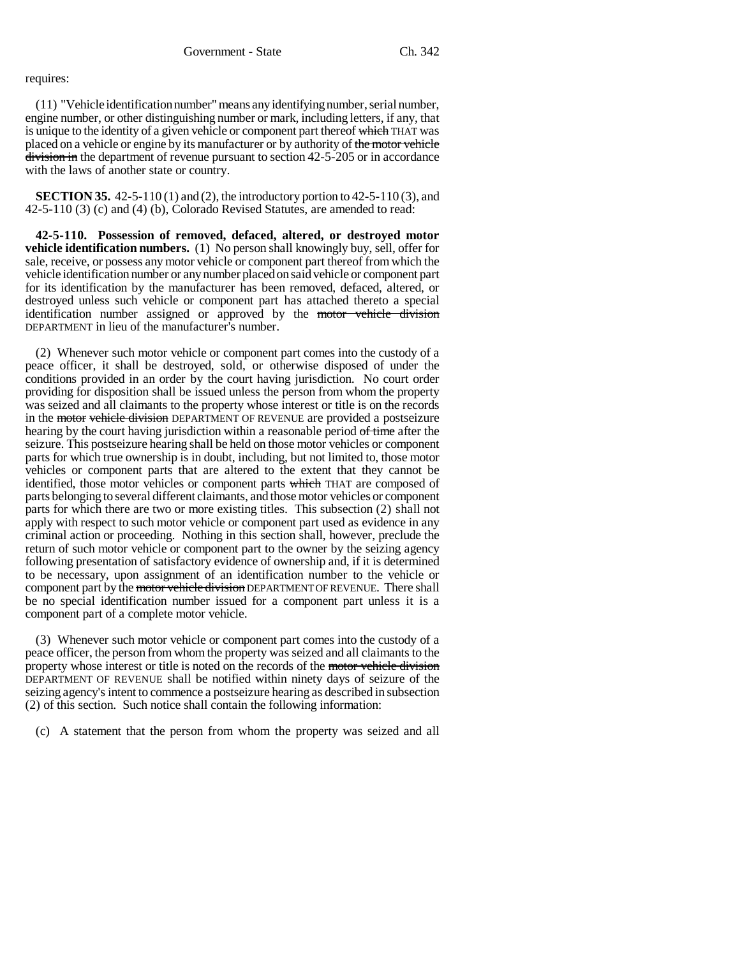## requires:

(11) "Vehicle identification number" means any identifying number, serial number, engine number, or other distinguishing number or mark, including letters, if any, that is unique to the identity of a given vehicle or component part thereof which THAT was placed on a vehicle or engine by its manufacturer or by authority of the motor vehicle division in the department of revenue pursuant to section 42-5-205 or in accordance with the laws of another state or country.

**SECTION 35.** 42-5-110 (1) and (2), the introductory portion to 42-5-110 (3), and 42-5-110 (3) (c) and (4) (b), Colorado Revised Statutes, are amended to read:

**42-5-110. Possession of removed, defaced, altered, or destroyed motor vehicle identification numbers.** (1) No person shall knowingly buy, sell, offer for sale, receive, or possess any motor vehicle or component part thereof from which the vehicle identification number or any number placed on said vehicle or component part for its identification by the manufacturer has been removed, defaced, altered, or destroyed unless such vehicle or component part has attached thereto a special identification number assigned or approved by the motor vehicle division DEPARTMENT in lieu of the manufacturer's number.

(2) Whenever such motor vehicle or component part comes into the custody of a peace officer, it shall be destroyed, sold, or otherwise disposed of under the conditions provided in an order by the court having jurisdiction. No court order providing for disposition shall be issued unless the person from whom the property was seized and all claimants to the property whose interest or title is on the records in the motor vehicle division DEPARTMENT OF REVENUE are provided a postseizure hearing by the court having jurisdiction within a reasonable period of time after the seizure. This postseizure hearing shall be held on those motor vehicles or component parts for which true ownership is in doubt, including, but not limited to, those motor vehicles or component parts that are altered to the extent that they cannot be identified, those motor vehicles or component parts which THAT are composed of parts belonging to several different claimants, and those motor vehicles or component parts for which there are two or more existing titles. This subsection (2) shall not apply with respect to such motor vehicle or component part used as evidence in any criminal action or proceeding. Nothing in this section shall, however, preclude the return of such motor vehicle or component part to the owner by the seizing agency following presentation of satisfactory evidence of ownership and, if it is determined to be necessary, upon assignment of an identification number to the vehicle or component part by the motor vehicle division DEPARTMENT OF REVENUE. There shall be no special identification number issued for a component part unless it is a component part of a complete motor vehicle.

(3) Whenever such motor vehicle or component part comes into the custody of a peace officer, the person from whom the property was seized and all claimants to the property whose interest or title is noted on the records of the motor vehicle division DEPARTMENT OF REVENUE shall be notified within ninety days of seizure of the seizing agency's intent to commence a postseizure hearing as described in subsection (2) of this section. Such notice shall contain the following information:

(c) A statement that the person from whom the property was seized and all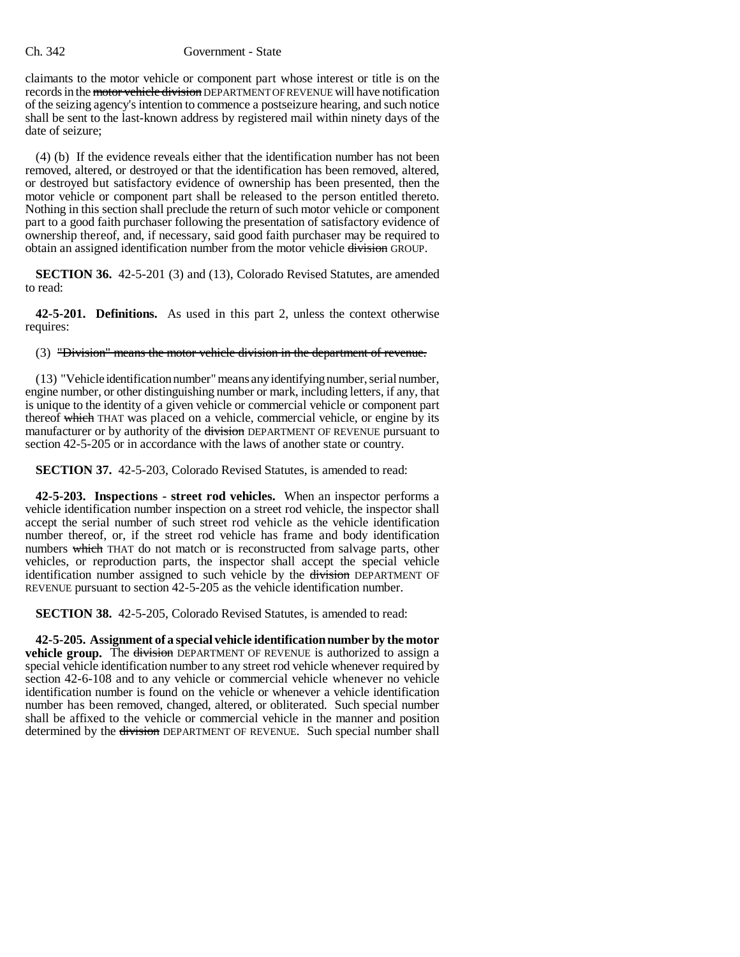claimants to the motor vehicle or component part whose interest or title is on the records in the motor vehicle division DEPARTMENT OF REVENUE will have notification of the seizing agency's intention to commence a postseizure hearing, and such notice shall be sent to the last-known address by registered mail within ninety days of the date of seizure;

(4) (b) If the evidence reveals either that the identification number has not been removed, altered, or destroyed or that the identification has been removed, altered, or destroyed but satisfactory evidence of ownership has been presented, then the motor vehicle or component part shall be released to the person entitled thereto. Nothing in this section shall preclude the return of such motor vehicle or component part to a good faith purchaser following the presentation of satisfactory evidence of ownership thereof, and, if necessary, said good faith purchaser may be required to obtain an assigned identification number from the motor vehicle division GROUP.

**SECTION 36.** 42-5-201 (3) and (13), Colorado Revised Statutes, are amended to read:

**42-5-201. Definitions.** As used in this part 2, unless the context otherwise requires:

(3) "Division" means the motor vehicle division in the department of revenue.

(13) "Vehicle identification number" means any identifying number, serial number, engine number, or other distinguishing number or mark, including letters, if any, that is unique to the identity of a given vehicle or commercial vehicle or component part thereof which THAT was placed on a vehicle, commercial vehicle, or engine by its manufacturer or by authority of the division DEPARTMENT OF REVENUE pursuant to section 42-5-205 or in accordance with the laws of another state or country.

**SECTION 37.** 42-5-203, Colorado Revised Statutes, is amended to read:

**42-5-203. Inspections - street rod vehicles.** When an inspector performs a vehicle identification number inspection on a street rod vehicle, the inspector shall accept the serial number of such street rod vehicle as the vehicle identification number thereof, or, if the street rod vehicle has frame and body identification numbers which THAT do not match or is reconstructed from salvage parts, other vehicles, or reproduction parts, the inspector shall accept the special vehicle identification number assigned to such vehicle by the division DEPARTMENT OF REVENUE pursuant to section 42-5-205 as the vehicle identification number.

**SECTION 38.** 42-5-205, Colorado Revised Statutes, is amended to read:

**42-5-205. Assignment of a special vehicle identification number by the motor vehicle group.** The division DEPARTMENT OF REVENUE is authorized to assign a special vehicle identification number to any street rod vehicle whenever required by section 42-6-108 and to any vehicle or commercial vehicle whenever no vehicle identification number is found on the vehicle or whenever a vehicle identification number has been removed, changed, altered, or obliterated. Such special number shall be affixed to the vehicle or commercial vehicle in the manner and position determined by the division DEPARTMENT OF REVENUE. Such special number shall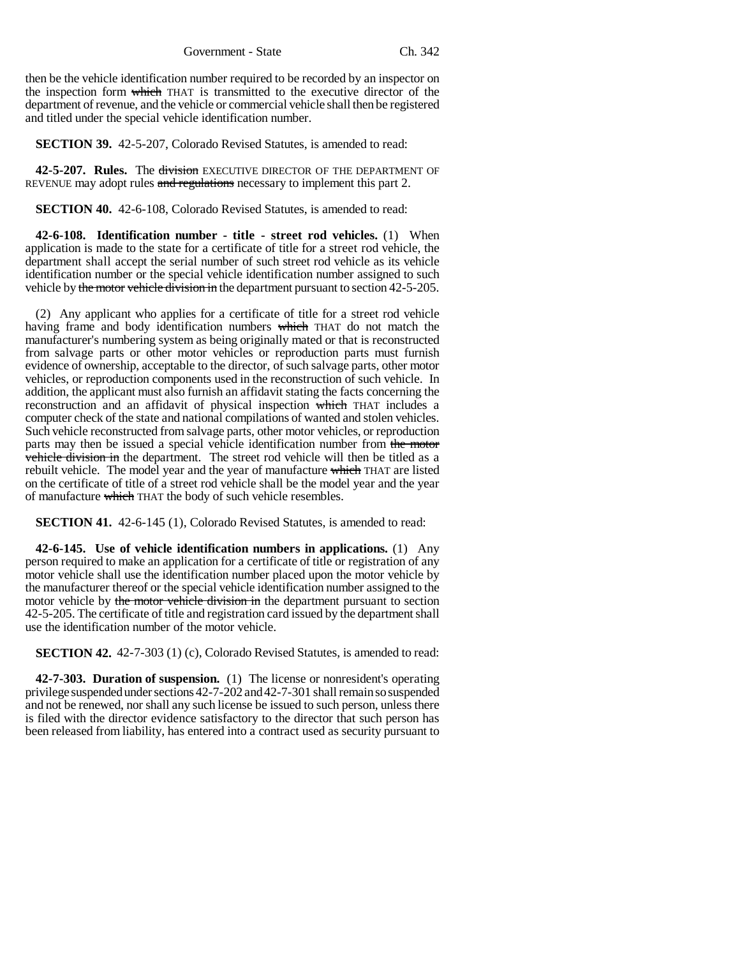Government - State Ch. 342

then be the vehicle identification number required to be recorded by an inspector on the inspection form which THAT is transmitted to the executive director of the department of revenue, and the vehicle or commercial vehicle shall then be registered and titled under the special vehicle identification number.

**SECTION 39.** 42-5-207, Colorado Revised Statutes, is amended to read:

**42-5-207. Rules.** The division EXECUTIVE DIRECTOR OF THE DEPARTMENT OF REVENUE may adopt rules and regulations necessary to implement this part 2.

**SECTION 40.** 42-6-108, Colorado Revised Statutes, is amended to read:

**42-6-108. Identification number - title - street rod vehicles.** (1) When application is made to the state for a certificate of title for a street rod vehicle, the department shall accept the serial number of such street rod vehicle as its vehicle identification number or the special vehicle identification number assigned to such vehicle by the motor vehicle division in the department pursuant to section 42-5-205.

(2) Any applicant who applies for a certificate of title for a street rod vehicle having frame and body identification numbers which THAT do not match the manufacturer's numbering system as being originally mated or that is reconstructed from salvage parts or other motor vehicles or reproduction parts must furnish evidence of ownership, acceptable to the director, of such salvage parts, other motor vehicles, or reproduction components used in the reconstruction of such vehicle. In addition, the applicant must also furnish an affidavit stating the facts concerning the reconstruction and an affidavit of physical inspection which THAT includes a computer check of the state and national compilations of wanted and stolen vehicles. Such vehicle reconstructed from salvage parts, other motor vehicles, or reproduction parts may then be issued a special vehicle identification number from the motor vehicle division in the department. The street rod vehicle will then be titled as a rebuilt vehicle. The model year and the year of manufacture which THAT are listed on the certificate of title of a street rod vehicle shall be the model year and the year of manufacture which THAT the body of such vehicle resembles.

**SECTION 41.** 42-6-145 (1), Colorado Revised Statutes, is amended to read:

**42-6-145. Use of vehicle identification numbers in applications.** (1) Any person required to make an application for a certificate of title or registration of any motor vehicle shall use the identification number placed upon the motor vehicle by the manufacturer thereof or the special vehicle identification number assigned to the motor vehicle by the motor vehicle division in the department pursuant to section 42-5-205. The certificate of title and registration card issued by the department shall use the identification number of the motor vehicle.

**SECTION 42.** 42-7-303 (1) (c), Colorado Revised Statutes, is amended to read:

**42-7-303. Duration of suspension.** (1) The license or nonresident's operating privilege suspended under sections 42-7-202 and 42-7-301 shall remain so suspended and not be renewed, nor shall any such license be issued to such person, unless there is filed with the director evidence satisfactory to the director that such person has been released from liability, has entered into a contract used as security pursuant to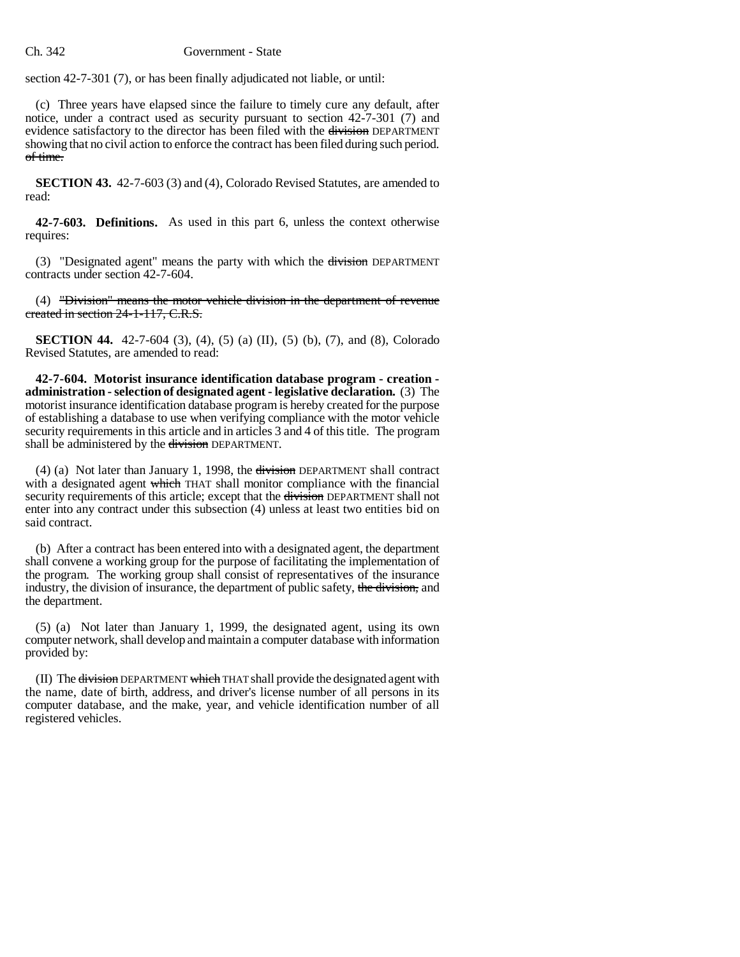section 42-7-301 (7), or has been finally adjudicated not liable, or until:

(c) Three years have elapsed since the failure to timely cure any default, after notice, under a contract used as security pursuant to section 42-7-301 (7) and evidence satisfactory to the director has been filed with the division DEPARTMENT showing that no civil action to enforce the contract has been filed during such period. of time.

**SECTION 43.** 42-7-603 (3) and (4), Colorado Revised Statutes, are amended to read:

**42-7-603. Definitions.** As used in this part 6, unless the context otherwise requires:

(3) "Designated agent" means the party with which the division DEPARTMENT contracts under section 42-7-604.

(4) "Division" means the motor vehicle division in the department of revenue created in section 24-1-117, C.R.S.

**SECTION 44.** 42-7-604 (3), (4), (5) (a) (II), (5) (b), (7), and (8), Colorado Revised Statutes, are amended to read:

**42-7-604. Motorist insurance identification database program - creation administration - selection of designated agent - legislative declaration.** (3) The motorist insurance identification database program is hereby created for the purpose of establishing a database to use when verifying compliance with the motor vehicle security requirements in this article and in articles 3 and 4 of this title. The program shall be administered by the division DEPARTMENT.

(4) (a) Not later than January 1, 1998, the division DEPARTMENT shall contract with a designated agent which THAT shall monitor compliance with the financial security requirements of this article; except that the division DEPARTMENT shall not enter into any contract under this subsection (4) unless at least two entities bid on said contract.

(b) After a contract has been entered into with a designated agent, the department shall convene a working group for the purpose of facilitating the implementation of the program. The working group shall consist of representatives of the insurance industry, the division of insurance, the department of public safety, the division, and the department.

(5) (a) Not later than January 1, 1999, the designated agent, using its own computer network, shall develop and maintain a computer database with information provided by:

(II) The division DEPARTMENT which THAT shall provide the designated agent with the name, date of birth, address, and driver's license number of all persons in its computer database, and the make, year, and vehicle identification number of all registered vehicles.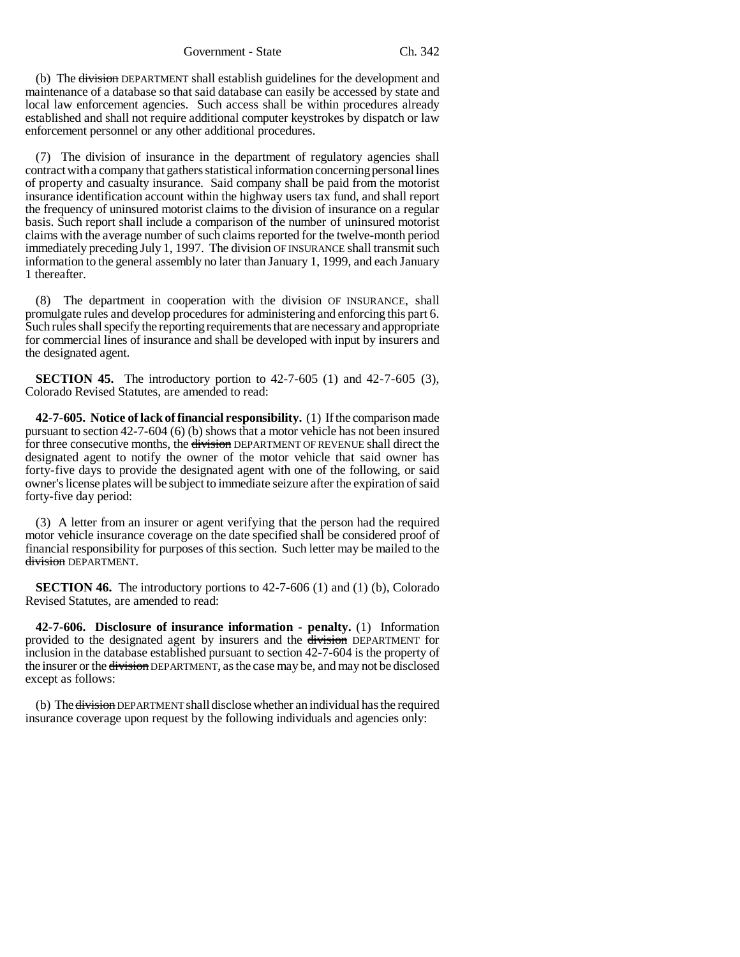(b) The division DEPARTMENT shall establish guidelines for the development and maintenance of a database so that said database can easily be accessed by state and local law enforcement agencies. Such access shall be within procedures already established and shall not require additional computer keystrokes by dispatch or law enforcement personnel or any other additional procedures.

(7) The division of insurance in the department of regulatory agencies shall contract with a company that gathers statistical information concerning personal lines of property and casualty insurance. Said company shall be paid from the motorist insurance identification account within the highway users tax fund, and shall report the frequency of uninsured motorist claims to the division of insurance on a regular basis. Such report shall include a comparison of the number of uninsured motorist claims with the average number of such claims reported for the twelve-month period immediately preceding July 1, 1997. The division OF INSURANCE shall transmit such information to the general assembly no later than January 1, 1999, and each January 1 thereafter.

(8) The department in cooperation with the division OF INSURANCE, shall promulgate rules and develop procedures for administering and enforcing this part 6. Such rules shall specify the reporting requirements that are necessary and appropriate for commercial lines of insurance and shall be developed with input by insurers and the designated agent.

**SECTION 45.** The introductory portion to 42-7-605 (1) and 42-7-605 (3), Colorado Revised Statutes, are amended to read:

**42-7-605. Notice of lack of financial responsibility.** (1) If the comparison made pursuant to section 42-7-604 (6) (b) shows that a motor vehicle has not been insured for three consecutive months, the division DEPARTMENT OF REVENUE shall direct the designated agent to notify the owner of the motor vehicle that said owner has forty-five days to provide the designated agent with one of the following, or said owner's license plates will be subject to immediate seizure after the expiration of said forty-five day period:

(3) A letter from an insurer or agent verifying that the person had the required motor vehicle insurance coverage on the date specified shall be considered proof of financial responsibility for purposes of this section. Such letter may be mailed to the division DEPARTMENT.

**SECTION 46.** The introductory portions to 42-7-606 (1) and (1) (b), Colorado Revised Statutes, are amended to read:

**42-7-606. Disclosure of insurance information - penalty.** (1) Information provided to the designated agent by insurers and the division DEPARTMENT for inclusion in the database established pursuant to section 42-7-604 is the property of the insurer or the division DEPARTMENT, as the case may be, and may not be disclosed except as follows:

(b) The <del>division</del> DEPARTMENT shall disclose whether an individual has the required insurance coverage upon request by the following individuals and agencies only: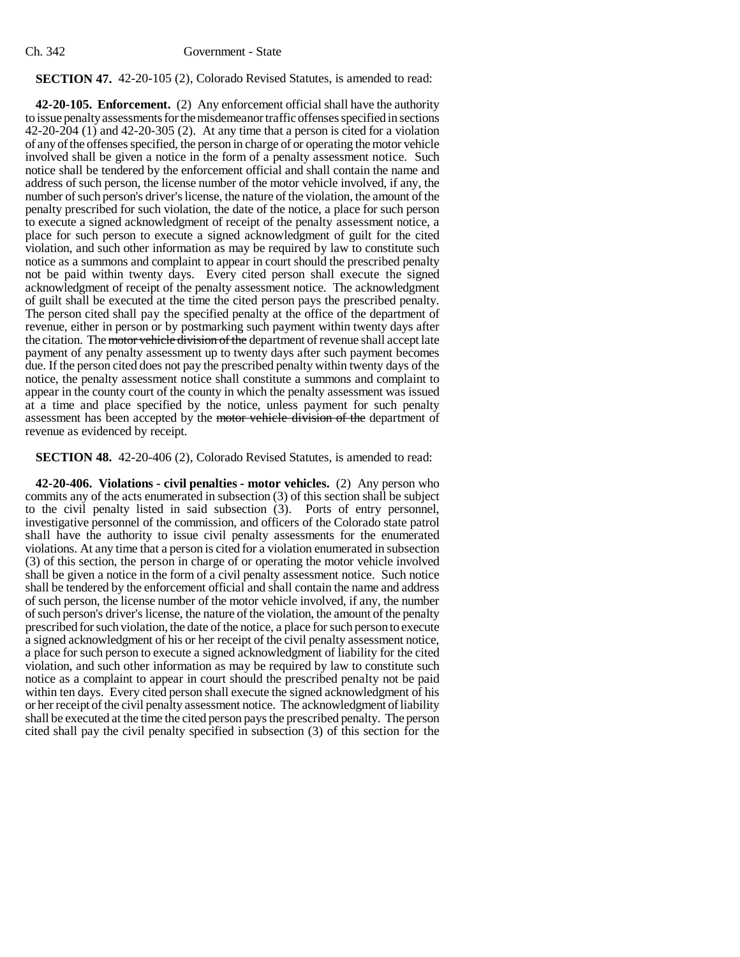# **SECTION 47.** 42-20-105 (2), Colorado Revised Statutes, is amended to read:

**42-20-105. Enforcement.** (2) Any enforcement official shall have the authority to issue penalty assessments for the misdemeanor traffic offenses specified in sections 42-20-204 (1) and 42-20-305 (2). At any time that a person is cited for a violation of any of the offenses specified, the person in charge of or operating the motor vehicle involved shall be given a notice in the form of a penalty assessment notice. Such notice shall be tendered by the enforcement official and shall contain the name and address of such person, the license number of the motor vehicle involved, if any, the number of such person's driver's license, the nature of the violation, the amount of the penalty prescribed for such violation, the date of the notice, a place for such person to execute a signed acknowledgment of receipt of the penalty assessment notice, a place for such person to execute a signed acknowledgment of guilt for the cited violation, and such other information as may be required by law to constitute such notice as a summons and complaint to appear in court should the prescribed penalty not be paid within twenty days. Every cited person shall execute the signed acknowledgment of receipt of the penalty assessment notice. The acknowledgment of guilt shall be executed at the time the cited person pays the prescribed penalty. The person cited shall pay the specified penalty at the office of the department of revenue, either in person or by postmarking such payment within twenty days after the citation. The motor vehicle division of the department of revenue shall accept late payment of any penalty assessment up to twenty days after such payment becomes due. If the person cited does not pay the prescribed penalty within twenty days of the notice, the penalty assessment notice shall constitute a summons and complaint to appear in the county court of the county in which the penalty assessment was issued at a time and place specified by the notice, unless payment for such penalty assessment has been accepted by the motor vehicle division of the department of revenue as evidenced by receipt.

# **SECTION 48.** 42-20-406 (2), Colorado Revised Statutes, is amended to read:

**42-20-406. Violations - civil penalties - motor vehicles.** (2) Any person who commits any of the acts enumerated in subsection (3) of this section shall be subject to the civil penalty listed in said subsection (3). Ports of entry personnel, investigative personnel of the commission, and officers of the Colorado state patrol shall have the authority to issue civil penalty assessments for the enumerated violations. At any time that a person is cited for a violation enumerated in subsection (3) of this section, the person in charge of or operating the motor vehicle involved shall be given a notice in the form of a civil penalty assessment notice. Such notice shall be tendered by the enforcement official and shall contain the name and address of such person, the license number of the motor vehicle involved, if any, the number of such person's driver's license, the nature of the violation, the amount of the penalty prescribed for such violation, the date of the notice, a place for such person to execute a signed acknowledgment of his or her receipt of the civil penalty assessment notice, a place for such person to execute a signed acknowledgment of liability for the cited violation, and such other information as may be required by law to constitute such notice as a complaint to appear in court should the prescribed penalty not be paid within ten days. Every cited person shall execute the signed acknowledgment of his or her receipt of the civil penalty assessment notice. The acknowledgment of liability shall be executed at the time the cited person pays the prescribed penalty. The person cited shall pay the civil penalty specified in subsection (3) of this section for the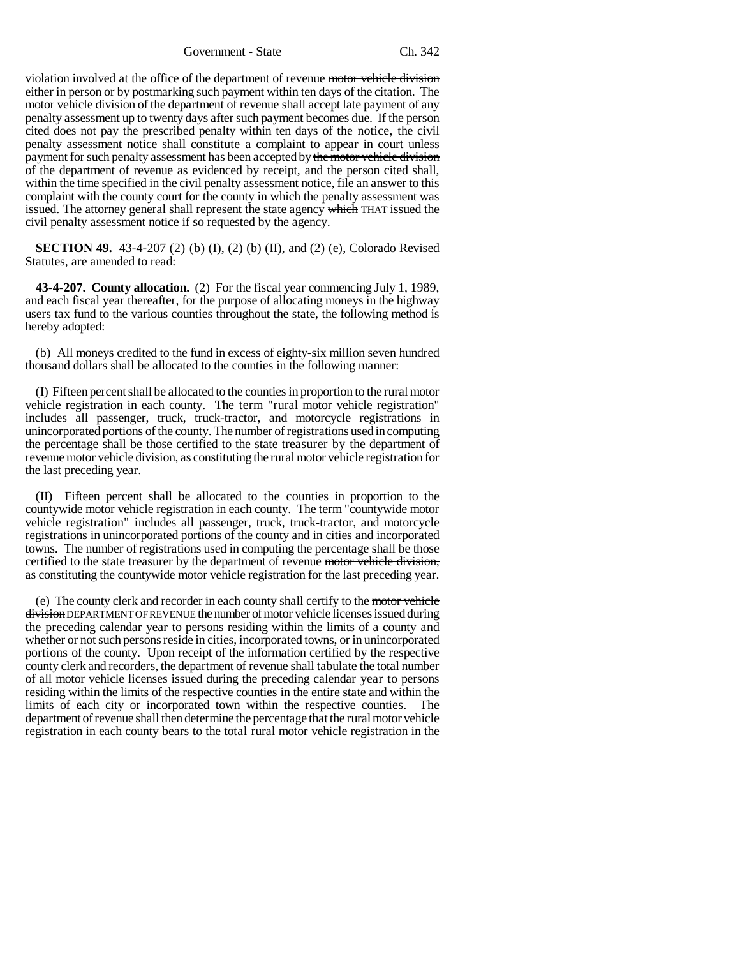Government - State Ch. 342

violation involved at the office of the department of revenue motor vehicle division either in person or by postmarking such payment within ten days of the citation. The motor vehicle division of the department of revenue shall accept late payment of any penalty assessment up to twenty days after such payment becomes due. If the person cited does not pay the prescribed penalty within ten days of the notice, the civil penalty assessment notice shall constitute a complaint to appear in court unless payment for such penalty assessment has been accepted by the motor vehicle division of the department of revenue as evidenced by receipt, and the person cited shall, within the time specified in the civil penalty assessment notice, file an answer to this complaint with the county court for the county in which the penalty assessment was issued. The attorney general shall represent the state agency which THAT issued the civil penalty assessment notice if so requested by the agency.

**SECTION 49.** 43-4-207 (2) (b) (I), (2) (b) (II), and (2) (e), Colorado Revised Statutes, are amended to read:

**43-4-207. County allocation.** (2) For the fiscal year commencing July 1, 1989, and each fiscal year thereafter, for the purpose of allocating moneys in the highway users tax fund to the various counties throughout the state, the following method is hereby adopted:

(b) All moneys credited to the fund in excess of eighty-six million seven hundred thousand dollars shall be allocated to the counties in the following manner:

(I) Fifteen percent shall be allocated to the counties in proportion to the rural motor vehicle registration in each county. The term "rural motor vehicle registration" includes all passenger, truck, truck-tractor, and motorcycle registrations in unincorporated portions of the county. The number of registrations used in computing the percentage shall be those certified to the state treasurer by the department of revenue motor vehicle division, as constituting the rural motor vehicle registration for the last preceding year.

(II) Fifteen percent shall be allocated to the counties in proportion to the countywide motor vehicle registration in each county. The term "countywide motor vehicle registration" includes all passenger, truck, truck-tractor, and motorcycle registrations in unincorporated portions of the county and in cities and incorporated towns. The number of registrations used in computing the percentage shall be those certified to the state treasurer by the department of revenue motor vehicle division, as constituting the countywide motor vehicle registration for the last preceding year.

(e) The county clerk and recorder in each county shall certify to the motor vehicle division DEPARTMENT OF REVENUE the number of motor vehicle licenses issued during the preceding calendar year to persons residing within the limits of a county and whether or not such persons reside in cities, incorporated towns, or in unincorporated portions of the county. Upon receipt of the information certified by the respective county clerk and recorders, the department of revenue shall tabulate the total number of all motor vehicle licenses issued during the preceding calendar year to persons residing within the limits of the respective counties in the entire state and within the limits of each city or incorporated town within the respective counties. The department of revenue shall then determine the percentage that the rural motor vehicle registration in each county bears to the total rural motor vehicle registration in the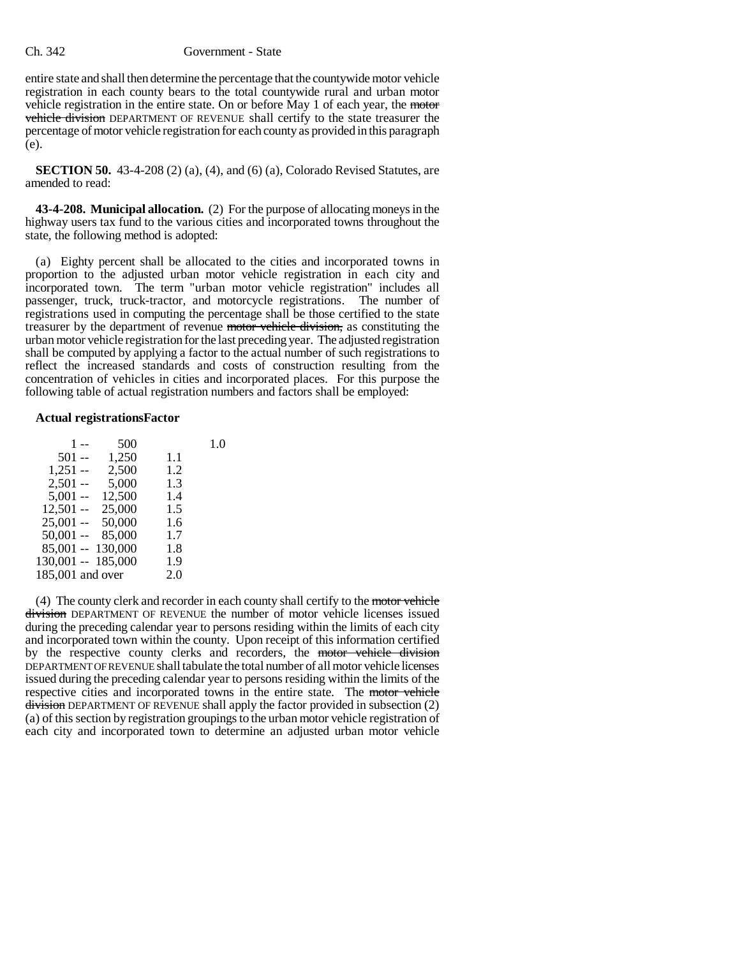entire state and shall then determine the percentage that the countywide motor vehicle registration in each county bears to the total countywide rural and urban motor vehicle registration in the entire state. On or before May 1 of each year, the motor vehicle division DEPARTMENT OF REVENUE shall certify to the state treasurer the percentage of motor vehicle registration for each county as provided in this paragraph (e).

**SECTION 50.** 43-4-208 (2) (a), (4), and (6) (a), Colorado Revised Statutes, are amended to read:

**43-4-208. Municipal allocation.** (2) For the purpose of allocating moneys in the highway users tax fund to the various cities and incorporated towns throughout the state, the following method is adopted:

(a) Eighty percent shall be allocated to the cities and incorporated towns in proportion to the adjusted urban motor vehicle registration in each city and incorporated town. The term "urban motor vehicle registration" includes all passenger, truck, truck-tractor, and motorcycle registrations. The number of registrations used in computing the percentage shall be those certified to the state treasurer by the department of revenue motor vehicle division, as constituting the urban motor vehicle registration for the last preceding year. The adjusted registration shall be computed by applying a factor to the actual number of such registrations to reflect the increased standards and costs of construction resulting from the concentration of vehicles in cities and incorporated places. For this purpose the following table of actual registration numbers and factors shall be employed:

### **Actual registrationsFactor**

| 500    |                                                             | 1.0 |
|--------|-------------------------------------------------------------|-----|
| 1,250  | 1.1                                                         |     |
| 2,500  | 1.2                                                         |     |
| 5,000  | 1.3                                                         |     |
| 12,500 | 1.4                                                         |     |
| 25,000 | 1.5                                                         |     |
| 50,000 | 1.6                                                         |     |
| 85,000 | 1.7                                                         |     |
|        | 1.8                                                         |     |
|        | 1.9                                                         |     |
|        | 2.0                                                         |     |
|        | 85,001 -- 130,000<br>130,001 -- 185,000<br>185,001 and over |     |

(4) The county clerk and recorder in each county shall certify to the motor vehicle division DEPARTMENT OF REVENUE the number of motor vehicle licenses issued during the preceding calendar year to persons residing within the limits of each city and incorporated town within the county. Upon receipt of this information certified by the respective county clerks and recorders, the motor vehicle division DEPARTMENT OF REVENUE shall tabulate the total number of all motor vehicle licenses issued during the preceding calendar year to persons residing within the limits of the respective cities and incorporated towns in the entire state. The motor vehicle division DEPARTMENT OF REVENUE shall apply the factor provided in subsection (2) (a) of this section by registration groupings to the urban motor vehicle registration of each city and incorporated town to determine an adjusted urban motor vehicle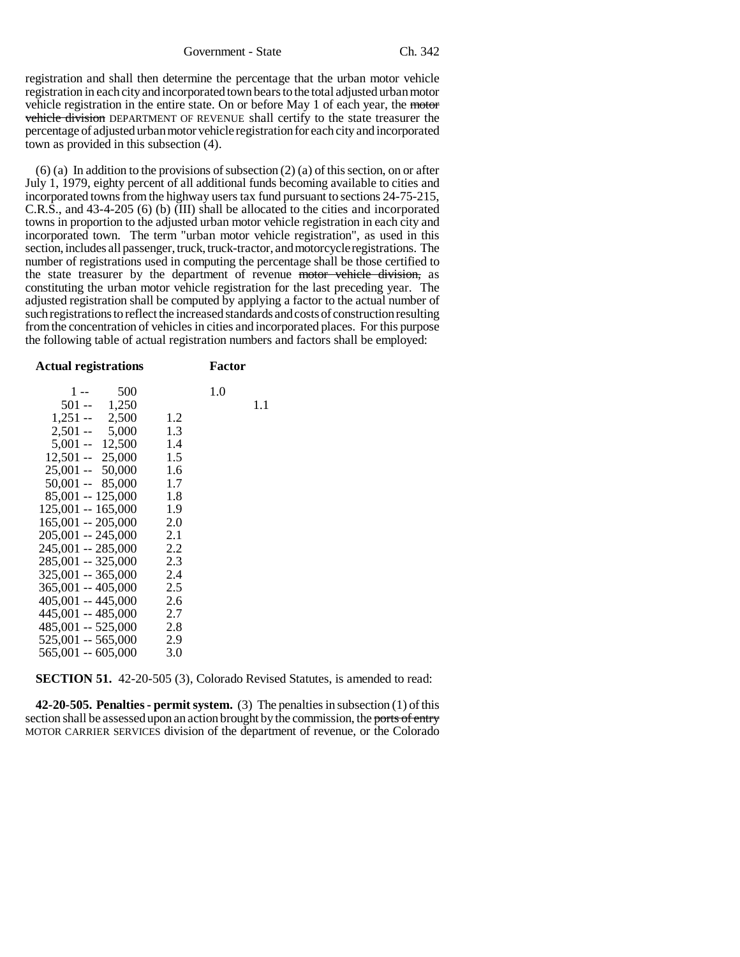registration and shall then determine the percentage that the urban motor vehicle registration in each city and incorporated town bears to the total adjusted urban motor vehicle registration in the entire state. On or before May 1 of each year, the motor vehicle division DEPARTMENT OF REVENUE shall certify to the state treasurer the percentage of adjusted urban motor vehicle registration for each city and incorporated town as provided in this subsection (4).

(6) (a) In addition to the provisions of subsection (2) (a) of this section, on or after July 1, 1979, eighty percent of all additional funds becoming available to cities and incorporated towns from the highway users tax fund pursuant to sections 24-75-215, C.R.S., and 43-4-205 (6) (b) (III) shall be allocated to the cities and incorporated towns in proportion to the adjusted urban motor vehicle registration in each city and incorporated town. The term "urban motor vehicle registration", as used in this section, includes all passenger, truck, truck-tractor, and motorcycle registrations. The number of registrations used in computing the percentage shall be those certified to the state treasurer by the department of revenue motor vehicle division, as constituting the urban motor vehicle registration for the last preceding year. The adjusted registration shall be computed by applying a factor to the actual number of such registrations to reflect the increased standards and costs of construction resulting from the concentration of vehicles in cities and incorporated places. For this purpose the following table of actual registration numbers and factors shall be employed:

**SECTION 51.** 42-20-505 (3), Colorado Revised Statutes, is amended to read:

**42-20-505. Penalties - permit system.** (3) The penalties in subsection (1) of this section shall be assessed upon an action brought by the commission, the ports of entry MOTOR CARRIER SERVICES division of the department of revenue, or the Colorado